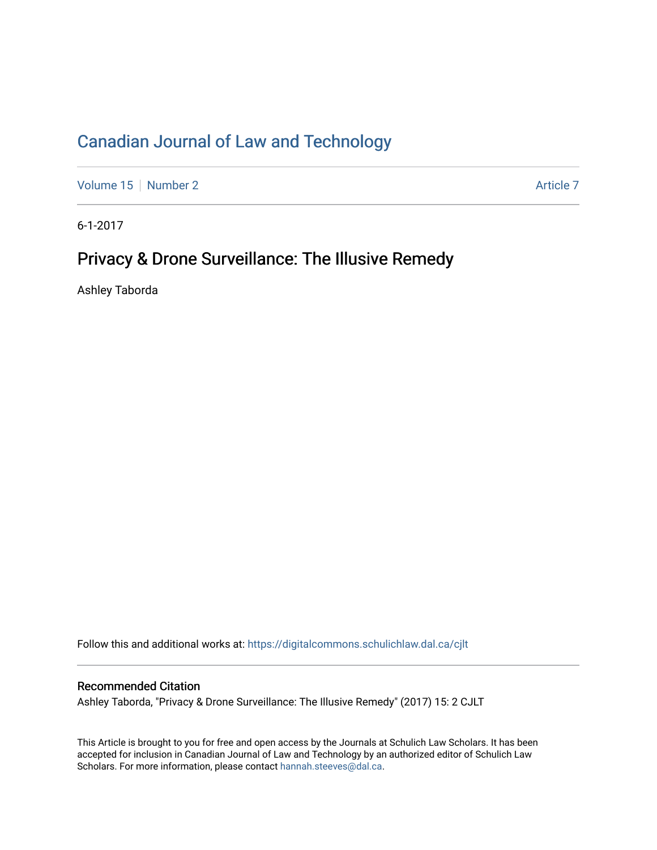# [Canadian Journal of Law and Technology](https://digitalcommons.schulichlaw.dal.ca/cjlt)

[Volume 15](https://digitalcommons.schulichlaw.dal.ca/cjlt/vol15) [Number 2](https://digitalcommons.schulichlaw.dal.ca/cjlt/vol15/iss2) Article 7

6-1-2017

## Privacy & Drone Surveillance: The Illusive Remedy

Ashley Taborda

Follow this and additional works at: [https://digitalcommons.schulichlaw.dal.ca/cjlt](https://digitalcommons.schulichlaw.dal.ca/cjlt?utm_source=digitalcommons.schulichlaw.dal.ca%2Fcjlt%2Fvol15%2Fiss2%2F7&utm_medium=PDF&utm_campaign=PDFCoverPages) 

## Recommended Citation

Ashley Taborda, "Privacy & Drone Surveillance: The Illusive Remedy" (2017) 15: 2 CJLT

This Article is brought to you for free and open access by the Journals at Schulich Law Scholars. It has been accepted for inclusion in Canadian Journal of Law and Technology by an authorized editor of Schulich Law Scholars. For more information, please contact [hannah.steeves@dal.ca](mailto:hannah.steeves@dal.ca).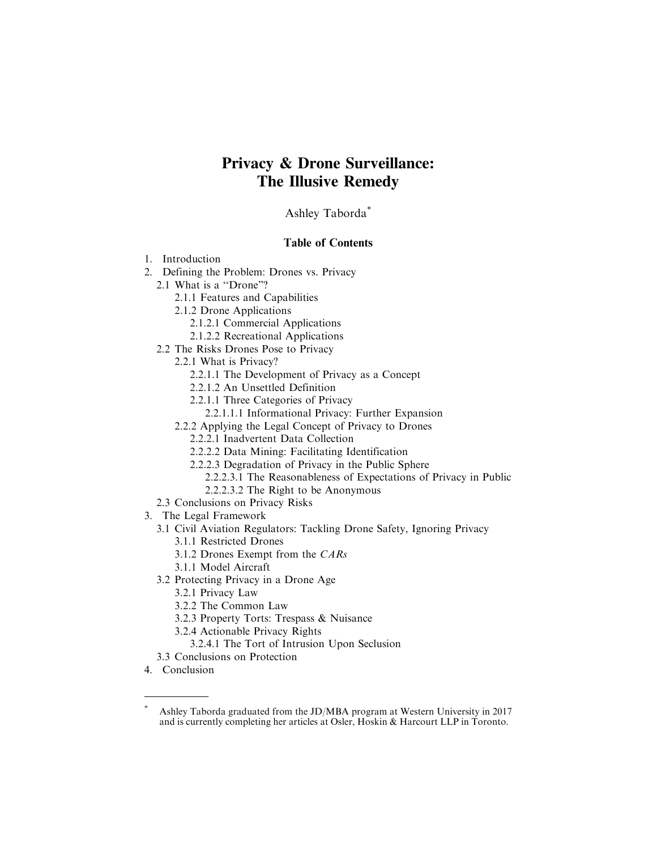## **Privacy & Drone Surveillance: The Illusive Remedy**

Ashley Taborda\*

## Table of Contents

- 1. Introduction
- 2. Defining the Problem: Drones vs. Privacy
	- 2.1 What is a ''Drone"?
		- 2.1.1 Features and Capabilities
		- 2.1.2 Drone Applications
			- 2.1.2.1 Commercial Applications
			- 2.1.2.2 Recreational Applications
	- 2.2 The Risks Drones Pose to Privacy
		- 2.2.1 What is Privacy?
			- 2.2.1.1 The Development of Privacy as a Concept
			- 2.2.1.2 An Unsettled Definition
			- 2.2.1.1 Three Categories of Privacy
				- 2.2.1.1.1 Informational Privacy: Further Expansion
		- 2.2.2 Applying the Legal Concept of Privacy to Drones
			- 2.2.2.1 Inadvertent Data Collection
			- 2.2.2.2 Data Mining: Facilitating Identification
			- 2.2.2.3 Degradation of Privacy in the Public Sphere
				- 2.2.2.3.1 The Reasonableness of Expectations of Privacy in Public
				- 2.2.2.3.2 The Right to be Anonymous
	- 2.3 Conclusions on Privacy Risks
- 3. The Legal Framework
	- 3.1 Civil Aviation Regulators: Tackling Drone Safety, Ignoring Privacy
		- 3.1.1 Restricted Drones
		- 3.1.2 Drones Exempt from the CARs
		- 3.1.1 Model Aircraft
	- 3.2 Protecting Privacy in a Drone Age
		- 3.2.1 Privacy Law
		- 3.2.2 The Common Law
		- 3.2.3 Property Torts: Trespass & Nuisance
		- 3.2.4 Actionable Privacy Rights
			- 3.2.4.1 The Tort of Intrusion Upon Seclusion
	- 3.3 Conclusions on Protection
- 4. Conclusion

Ashley Taborda graduated from the JD/MBA program at Western University in 2017 and is currently completing her articles at Osler, Hoskin & Harcourt LLP in Toronto.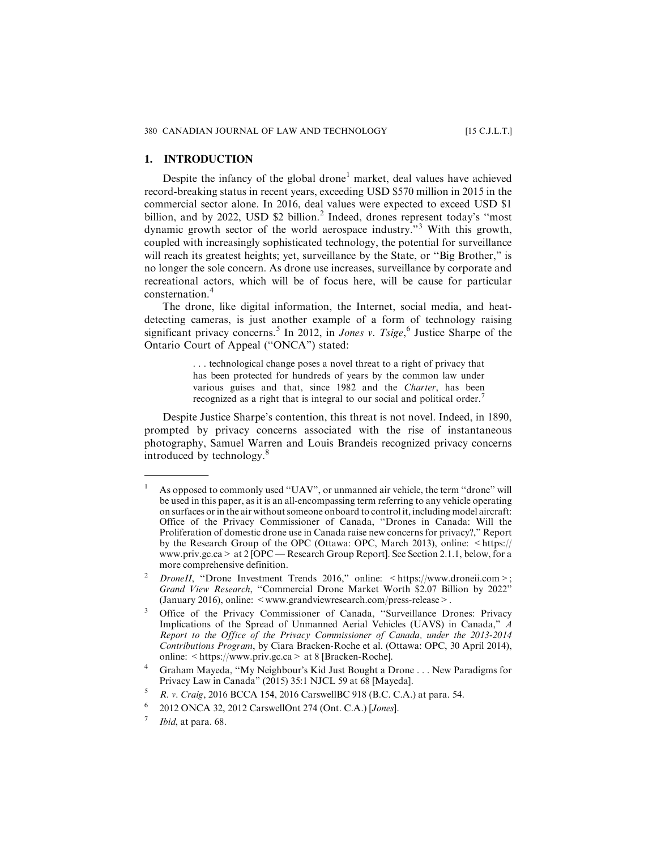#### **1. INTRODUCTION**

Despite the infancy of the global drone<sup>1</sup> market, deal values have achieved record-breaking status in recent years, exceeding USD \$570 million in 2015 in the commercial sector alone. In 2016, deal values were expected to exceed USD \$1 billion, and by 2022, USD \$2 billion.<sup>2</sup> Indeed, drones represent today's "most dynamic growth sector of the world aerospace industry."<sup>3</sup> With this growth, coupled with increasingly sophisticated technology, the potential for surveillance will reach its greatest heights; yet, surveillance by the State, or "Big Brother," is no longer the sole concern. As drone use increases, surveillance by corporate and recreational actors, which will be of focus here, will be cause for particular consternation.<sup>4</sup>

The drone, like digital information, the Internet, social media, and heatdetecting cameras, is just another example of a form of technology raising significant privacy concerns.<sup>5</sup> In 2012, in *Jones v. Tsige*,<sup>6</sup> Justice Sharpe of the Ontario Court of Appeal (''ONCA") stated:

> . . . technological change poses a novel threat to a right of privacy that has been protected for hundreds of years by the common law under various guises and that, since 1982 and the Charter, has been recognized as a right that is integral to our social and political order.<sup>7</sup>

Despite Justice Sharpe's contention, this threat is not novel. Indeed, in 1890, prompted by privacy concerns associated with the rise of instantaneous photography, Samuel Warren and Louis Brandeis recognized privacy concerns introduced by technology.<sup>8</sup>

<sup>&</sup>lt;sup>1</sup> As opposed to commonly used "UAV", or unmanned air vehicle, the term "drone" will be used in this paper, as it is an all-encompassing term referring to any vehicle operating on surfaces or in the air without someone onboard to control it, including model aircraft: Office of the Privacy Commissioner of Canada, ''Drones in Canada: Will the Proliferation of domestic drone use in Canada raise new concerns for privacy?," Report by the Research Group of the OPC (Ottawa: OPC, March 2013), online: <https:// www.priv.gc.ca> at 2 [OPC — Research Group Report]. See Section 2.1.1, below, for a more comprehensive definition.

DroneII, "Drone Investment Trends 2016," online: <https://www.droneii.com>; Grand View Research, ''Commercial Drone Market Worth \$2.07 Billion by 2022" (January 2016), online: <www.grandviewresearch.com/press-release>.

<sup>3</sup> Office of the Privacy Commissioner of Canada, ''Surveillance Drones: Privacy Implications of the Spread of Unmanned Aerial Vehicles (UAVS) in Canada," A Report to the Office of the Privacy Commissioner of Canada, under the 2013-2014 Contributions Program, by Ciara Bracken-Roche et al. (Ottawa: OPC, 30 April 2014), online:  $\lt$ https://www.priv.gc.ca > at 8 [Bracken-Roche].

<sup>4</sup> Graham Mayeda, ''My Neighbour's Kid Just Bought a Drone . . . New Paradigms for Privacy Law in Canada" (2015) 35:1 NJCL 59 at 68 [Mayeda].

<sup>&</sup>lt;sup>5</sup> R. v. Craig, 2016 BCCA 154, 2016 CarswellBC 918 (B.C. C.A.) at para. 54.

<sup>2012</sup> ONCA 32, 2012 CarswellOnt 274 (Ont. C.A.) [Jones].

Ibid, at para. 68.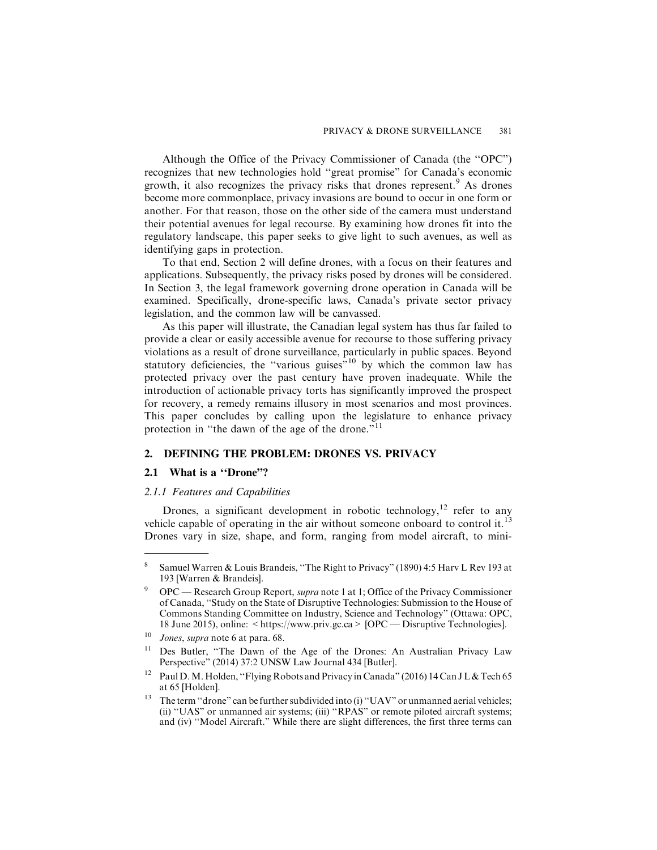Although the Office of the Privacy Commissioner of Canada (the ''OPC") recognizes that new technologies hold ''great promise" for Canada's economic growth, it also recognizes the privacy risks that drones represent.<sup>9</sup> As drones become more commonplace, privacy invasions are bound to occur in one form or another. For that reason, those on the other side of the camera must understand their potential avenues for legal recourse. By examining how drones fit into the regulatory landscape, this paper seeks to give light to such avenues, as well as identifying gaps in protection.

To that end, Section 2 will define drones, with a focus on their features and applications. Subsequently, the privacy risks posed by drones will be considered. In Section 3, the legal framework governing drone operation in Canada will be examined. Specifically, drone-specific laws, Canada's private sector privacy legislation, and the common law will be canvassed.

As this paper will illustrate, the Canadian legal system has thus far failed to provide a clear or easily accessible avenue for recourse to those suffering privacy violations as a result of drone surveillance, particularly in public spaces. Beyond statutory deficiencies, the "various guises"<sup>10</sup> by which the common law has protected privacy over the past century have proven inadequate. While the introduction of actionable privacy torts has significantly improved the prospect for recovery, a remedy remains illusory in most scenarios and most provinces. This paper concludes by calling upon the legislature to enhance privacy protection in "the dawn of the age of the drone."<sup>11</sup>

## **2. DEFINING THE PROBLEM: DRONES VS. PRIVACY**

#### **2.1 What is a ''Drone"?**

#### *2.1.1 Features and Capabilities*

Drones, a significant development in robotic technology,<sup>12</sup> refer to any vehicle capable of operating in the air without someone onboard to control it.<sup>13</sup> Drones vary in size, shape, and form, ranging from model aircraft, to mini-

<sup>8</sup> Samuel Warren & Louis Brandeis, ''The Right to Privacy" (1890) 4:5 Harv L Rev 193 at 193 [Warren & Brandeis].

<sup>9</sup> OPC — Research Group Report, supra note 1 at 1; Office of the Privacy Commissioner of Canada, ''Study on the State of Disruptive Technologies: Submission to the House of Commons Standing Committee on Industry, Science and Technology" (Ottawa: OPC, 18 June 2015), online: <https://www.priv.gc.ca> [OPC — Disruptive Technologies].

 $10$  Jones, supra note 6 at para. 68.

<sup>&</sup>lt;sup>11</sup> Des Butler, "The Dawn of the Age of the Drones: An Australian Privacy Law Perspective" (2014) 37:2 UNSW Law Journal 434 [Butler].

<sup>&</sup>lt;sup>12</sup> Paul D. M. Holden, "Flying Robots and Privacy in Canada" (2016) 14 Can J L & Tech 65 at 65 [Holden].

<sup>&</sup>lt;sup>13</sup> The term "drone" can be further subdivided into (i) "UAV" or unmanned aerial vehicles; (ii) ''UAS" or unmanned air systems; (iii) ''RPAS" or remote piloted aircraft systems; and (iv) ''Model Aircraft." While there are slight differences, the first three terms can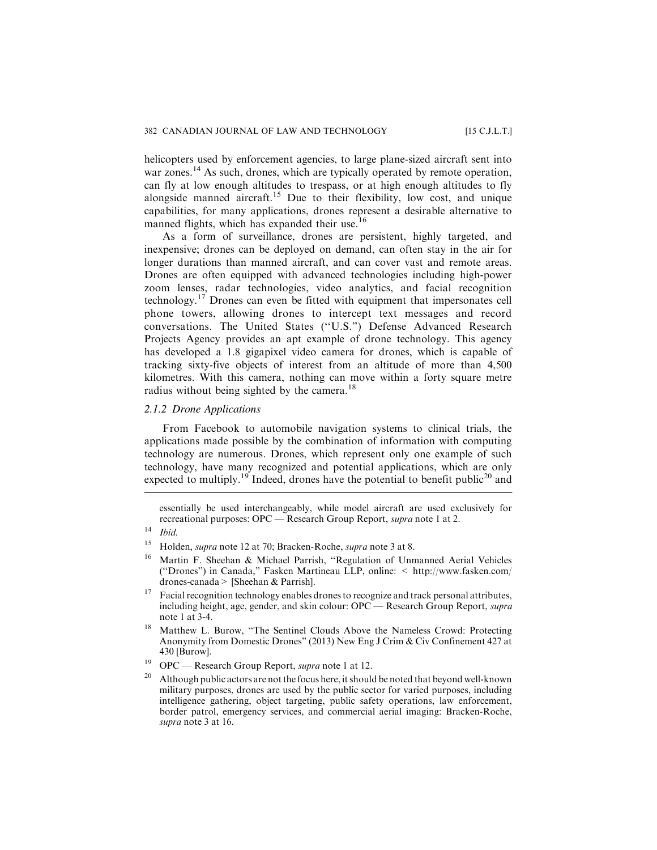helicopters used by enforcement agencies, to large plane-sized aircraft sent into war zones.<sup>14</sup> As such, drones, which are typically operated by remote operation, can fly at low enough altitudes to trespass, or at high enough altitudes to fly alongside manned aircraft.<sup>15</sup> Due to their flexibility, low cost, and unique capabilities, for many applications, drones represent a desirable alternative to manned flights, which has expanded their use.<sup>16</sup>

As a form of surveillance, drones are persistent, highly targeted, and inexpensive; drones can be deployed on demand, can often stay in the air for longer durations than manned aircraft, and can cover vast and remote areas. Drones are often equipped with advanced technologies including high-power zoom lenses, radar technologies, video analytics, and facial recognition technology.<sup>17</sup> Drones can even be fitted with equipment that impersonates cell phone towers, allowing drones to intercept text messages and record conversations. The United States (''U.S.") Defense Advanced Research Projects Agency provides an apt example of drone technology. This agency has developed a 1.8 gigapixel video camera for drones, which is capable of tracking sixty-five objects of interest from an altitude of more than 4,500 kilometres. With this camera, nothing can move within a forty square metre radius without being sighted by the camera.<sup>18</sup>

#### *2.1.2 Drone Applications*

From Facebook to automobile navigation systems to clinical trials, the applications made possible by the combination of information with computing technology are numerous. Drones, which represent only one example of such technology, have many recognized and potential applications, which are only expected to multiply.<sup>19</sup> Indeed, drones have the potential to benefit public<sup>20</sup> and

<sup>15</sup> Holden, *supra* note 12 at 70; Bracken-Roche, *supra* note 3 at 8.

- <sup>17</sup> Facial recognition technology enables drones to recognize and track personal attributes, including height, age, gender, and skin colour: OPC — Research Group Report, supra note 1 at 3-4.
- <sup>18</sup> Matthew L. Burow, ''The Sentinel Clouds Above the Nameless Crowd: Protecting Anonymity from Domestic Drones" (2013) New Eng J Crim & Civ Confinement 427 at 430 [Burow].
- <sup>19</sup> OPC Research Group Report, *supra* note 1 at 12.
- Although public actors are not the focus here, it should be noted that beyond well-known military purposes, drones are used by the public sector for varied purposes, including intelligence gathering, object targeting, public safety operations, law enforcement, border patrol, emergency services, and commercial aerial imaging: Bracken-Roche, supra note 3 at 16.

essentially be used interchangeably, while model aircraft are used exclusively for recreational purposes: OPC — Research Group Report, *supra* note 1 at 2.

 $14$  Ibid.

<sup>16</sup> Martin F. Sheehan & Michael Parrish, ''Regulation of Unmanned Aerial Vehicles (''Drones") in Canada," Fasken Martineau LLP, online: < http://www.fasken.com/ drones-canada> [Sheehan & Parrish].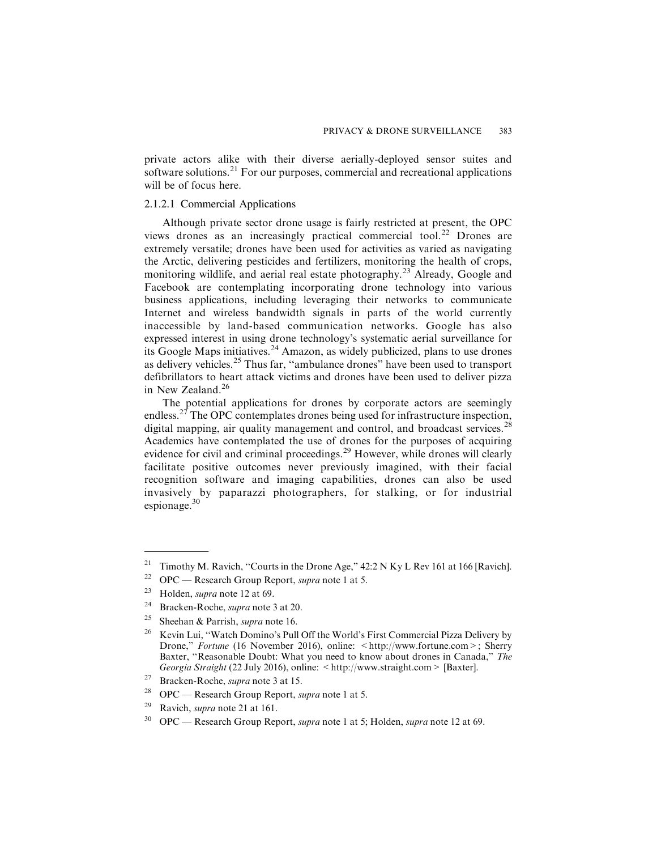private actors alike with their diverse aerially-deployed sensor suites and software solutions.<sup>21</sup> For our purposes, commercial and recreational applications will be of focus here.

## 2.1.2.1 Commercial Applications

Although private sector drone usage is fairly restricted at present, the OPC views drones as an increasingly practical commercial tool.<sup>22</sup> Drones are extremely versatile; drones have been used for activities as varied as navigating the Arctic, delivering pesticides and fertilizers, monitoring the health of crops, monitoring wildlife, and aerial real estate photography.<sup>23</sup> Already, Google and Facebook are contemplating incorporating drone technology into various business applications, including leveraging their networks to communicate Internet and wireless bandwidth signals in parts of the world currently inaccessible by land-based communication networks. Google has also expressed interest in using drone technology's systematic aerial surveillance for its Google Maps initiatives.<sup>24</sup> Amazon, as widely publicized, plans to use drones as delivery vehicles.<sup>25</sup> Thus far, "ambulance drones" have been used to transport defibrillators to heart attack victims and drones have been used to deliver pizza in New Zealand.<sup>26</sup>

The potential applications for drones by corporate actors are seemingly endless.<sup>27</sup> The OPC contemplates drones being used for infrastructure inspection, digital mapping, air quality management and control, and broadcast services.<sup>28</sup> Academics have contemplated the use of drones for the purposes of acquiring evidence for civil and criminal proceedings.<sup>29</sup> However, while drones will clearly facilitate positive outcomes never previously imagined, with their facial recognition software and imaging capabilities, drones can also be used invasively by paparazzi photographers, for stalking, or for industrial espionage. $30$ 

<sup>&</sup>lt;sup>21</sup> Timothy M. Ravich, "Courts in the Drone Age,"  $42:2 N$  Ky L Rev 161 at 166 [Ravich].

<sup>&</sup>lt;sup>22</sup> OPC — Research Group Report, *supra* note 1 at 5.<br><sup>23</sup> Holden, supra note 12 at 60

Holden, *supra* note 12 at 69.

<sup>&</sup>lt;sup>24</sup> Bracken-Roche, *supra* note 3 at 20.

<sup>&</sup>lt;sup>25</sup> Sheehan & Parrish, *supra* note 16.

<sup>&</sup>lt;sup>26</sup> Kevin Lui, "Watch Domino's Pull Off the World's First Commercial Pizza Delivery by Drone," Fortune (16 November 2016), online: <http://www.fortune.com>; Sherry Baxter, "Reasonable Doubt: What you need to know about drones in Canada," The Georgia Straight (22 July 2016), online: <http://www.straight.com> [Baxter].

<sup>27</sup> Bracken-Roche, supra note 3 at 15.

<sup>&</sup>lt;sup>28</sup> OPC — Research Group Report, *supra* note 1 at 5.

<sup>&</sup>lt;sup>29</sup> Ravich, *supra* note 21 at 161.

 $30$  OPC — Research Group Report, *supra* note 1 at 5; Holden, *supra* note 12 at 69.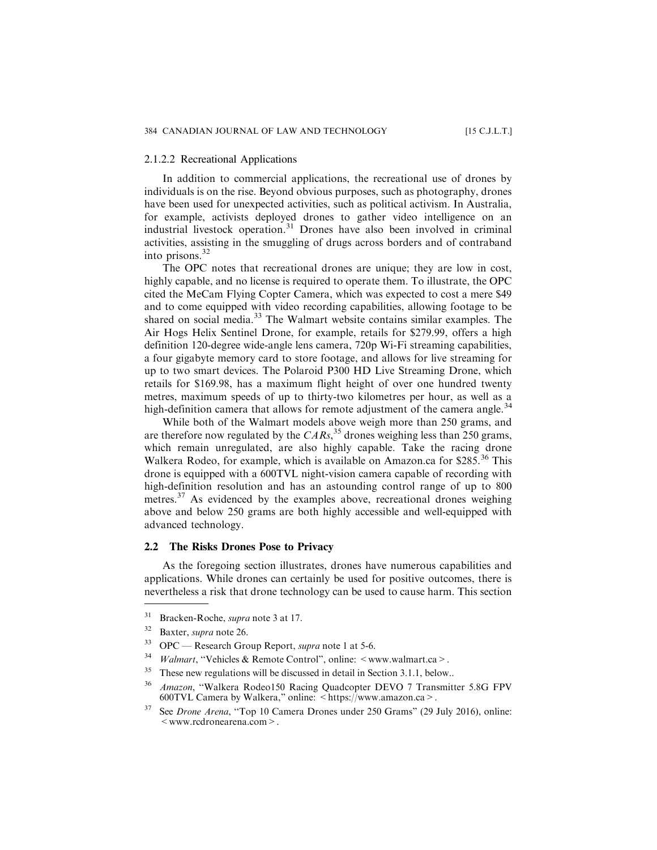#### 2.1.2.2 Recreational Applications

In addition to commercial applications, the recreational use of drones by individuals is on the rise. Beyond obvious purposes, such as photography, drones have been used for unexpected activities, such as political activism. In Australia, for example, activists deployed drones to gather video intelligence on an industrial livestock operation. $31$  Drones have also been involved in criminal activities, assisting in the smuggling of drugs across borders and of contraband into prisons.<sup>32</sup>

The OPC notes that recreational drones are unique; they are low in cost, highly capable, and no license is required to operate them. To illustrate, the OPC cited the MeCam Flying Copter Camera, which was expected to cost a mere \$49 and to come equipped with video recording capabilities, allowing footage to be shared on social media.<sup>33</sup> The Walmart website contains similar examples. The Air Hogs Helix Sentinel Drone, for example, retails for \$279.99, offers a high definition 120-degree wide-angle lens camera, 720p Wi-Fi streaming capabilities, a four gigabyte memory card to store footage, and allows for live streaming for up to two smart devices. The Polaroid P300 HD Live Streaming Drone, which retails for \$169.98, has a maximum flight height of over one hundred twenty metres, maximum speeds of up to thirty-two kilometres per hour, as well as a high-definition camera that allows for remote adjustment of the camera angle.<sup>34</sup>

While both of the Walmart models above weigh more than 250 grams, and are therefore now regulated by the  $CARS$ , <sup>35</sup> drones weighing less than 250 grams, which remain unregulated, are also highly capable. Take the racing drone Walkera Rodeo, for example, which is available on Amazon.ca for \$285.<sup>36</sup> This drone is equipped with a 600TVL night-vision camera capable of recording with high-definition resolution and has an astounding control range of up to 800 metres.<sup>37</sup> As evidenced by the examples above, recreational drones weighing above and below 250 grams are both highly accessible and well-equipped with advanced technology.

#### **2.2 The Risks Drones Pose to Privacy**

As the foregoing section illustrates, drones have numerous capabilities and applications. While drones can certainly be used for positive outcomes, there is nevertheless a risk that drone technology can be used to cause harm. This section

<sup>34</sup> *Walmart*, "Vehicles & Remote Control", online:  $\leq$  www.walmart.ca > .

<sup>31</sup> Bracken-Roche, supra note 3 at 17.

<sup>32</sup> Baxter, supra note 26.

 $33$  OPC — Research Group Report, *supra* note 1 at 5-6.

<sup>&</sup>lt;sup>35</sup> These new regulations will be discussed in detail in Section 3.1.1, below..

<sup>&</sup>lt;sup>36</sup> Amazon, "Walkera Rodeo150 Racing Quadcopter DEVO 7 Transmitter 5.8G FPV 600TVL Camera by Walkera," online: <https://www.amazon.ca>.

 $37$  See *Drone Arena*, "Top 10 Camera Drones under 250 Grams" (29 July 2016), online: <www.rcdronearena.com>.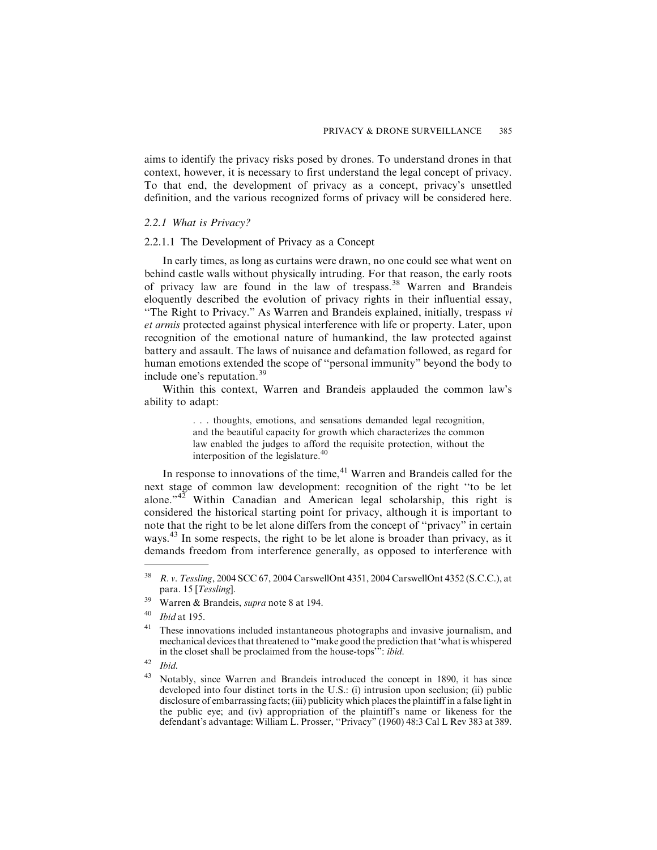aims to identify the privacy risks posed by drones. To understand drones in that context, however, it is necessary to first understand the legal concept of privacy. To that end, the development of privacy as a concept, privacy's unsettled definition, and the various recognized forms of privacy will be considered here.

#### *2.2.1 What is Privacy?*

#### 2.2.1.1 The Development of Privacy as a Concept

In early times, as long as curtains were drawn, no one could see what went on behind castle walls without physically intruding. For that reason, the early roots of privacy law are found in the law of trespass.<sup>38</sup> Warren and Brandeis eloquently described the evolution of privacy rights in their influential essay, "The Right to Privacy." As Warren and Brandeis explained, initially, trespass vi et armis protected against physical interference with life or property. Later, upon recognition of the emotional nature of humankind, the law protected against battery and assault. The laws of nuisance and defamation followed, as regard for human emotions extended the scope of ''personal immunity" beyond the body to include one's reputation.<sup>39</sup>

Within this context, Warren and Brandeis applauded the common law's ability to adapt:

> . . . thoughts, emotions, and sensations demanded legal recognition, and the beautiful capacity for growth which characterizes the common law enabled the judges to afford the requisite protection, without the interposition of the legislature.<sup>40</sup>

In response to innovations of the time, $41$  Warren and Brandeis called for the next stage of common law development: recognition of the right ''to be let alone."<sup>42</sup> Within Canadian and American legal scholarship, this right is considered the historical starting point for privacy, although it is important to note that the right to be let alone differs from the concept of ''privacy" in certain ways.<sup>43</sup> In some respects, the right to be let alone is broader than privacy, as it demands freedom from interference generally, as opposed to interference with

<sup>38</sup> R. v. Tessling, 2004 SCC 67, 2004 CarswellOnt 4351, 2004 CarswellOnt 4352 (S.C.C.), at para. 15 [Tessling].

<sup>39</sup> Warren & Brandeis, supra note 8 at 194.

<sup>40</sup> Ibid at 195.

These innovations included instantaneous photographs and invasive journalism, and mechanical devices that threatened to ''make good the prediction that 'what is whispered in the closet shall be proclaimed from the house-tops'": ibid.

 $42$  Ibid.

Notably, since Warren and Brandeis introduced the concept in 1890, it has since developed into four distinct torts in the U.S.: (i) intrusion upon seclusion; (ii) public disclosure of embarrassing facts; (iii) publicity which places the plaintiff in a false light in the public eye; and (iv) appropriation of the plaintiff's name or likeness for the defendant's advantage: William L. Prosser, ''Privacy" (1960) 48:3 Cal L Rev 383 at 389.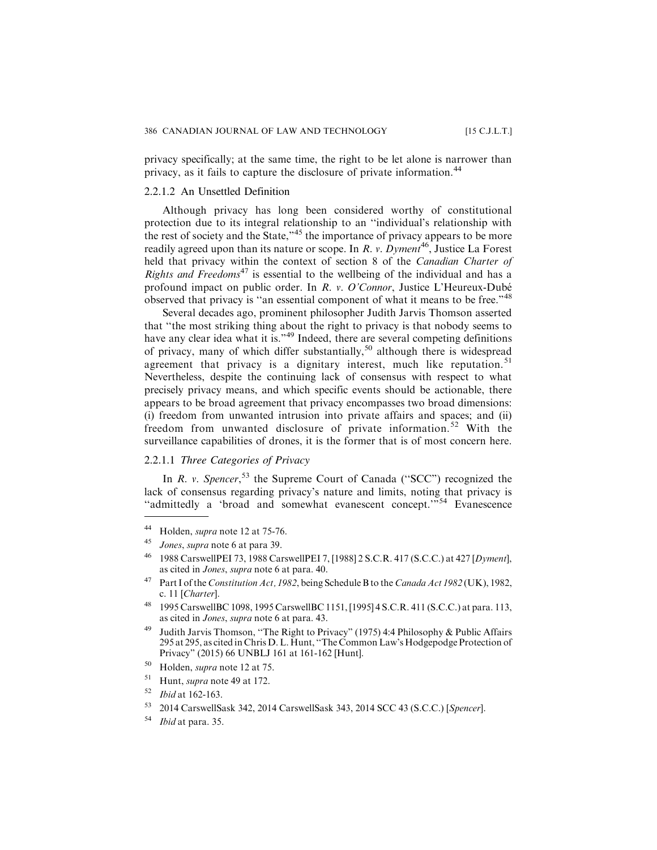privacy specifically; at the same time, the right to be let alone is narrower than privacy, as it fails to capture the disclosure of private information.<sup>44</sup>

#### 2.2.1.2 An Unsettled Definition

Although privacy has long been considered worthy of constitutional protection due to its integral relationship to an ''individual's relationship with the rest of society and the State,<sup>345</sup> the importance of privacy appears to be more readily agreed upon than its nature or scope. In R. v.  $Dyment^{46}$ , Justice La Forest held that privacy within the context of section 8 of the *Canadian Charter of Rights and Freedoms*<sup>47</sup> is essential to the wellbeing of the individual and has a profound impact on public order. In R. v. O'Connor, Justice L'Heureux-Dubé observed that privacy is "an essential component of what it means to be free."<sup>48</sup>

Several decades ago, prominent philosopher Judith Jarvis Thomson asserted that ''the most striking thing about the right to privacy is that nobody seems to have any clear idea what it is."<sup>49</sup> Indeed, there are several competing definitions of privacy, many of which differ substantially,<sup>50</sup> although there is widespread agreement that privacy is a dignitary interest, much like reputation.<sup>51</sup> Nevertheless, despite the continuing lack of consensus with respect to what precisely privacy means, and which specific events should be actionable, there appears to be broad agreement that privacy encompasses two broad dimensions: (i) freedom from unwanted intrusion into private affairs and spaces; and (ii) freedom from unwanted disclosure of private information.<sup>52</sup> With the surveillance capabilities of drones, it is the former that is of most concern here.

## 2.2.1.1 *Three Categories of Privacy*

In R. v. Spencer,<sup>53</sup> the Supreme Court of Canada ("SCC") recognized the lack of consensus regarding privacy's nature and limits, noting that privacy is ''admittedly a 'broad and somewhat evanescent concept.'"<sup>54</sup> Evanescence

<sup>44</sup> Holden, supra note 12 at 75-76.

<sup>45</sup> Jones, supra note 6 at para 39.

<sup>46</sup> 1988 CarswellPEI 73, 1988 CarswellPEI 7, [1988] 2 S.C.R. 417 (S.C.C.) at 427 [Dyment], as cited in Jones, supra note 6 at para. 40.

<sup>&</sup>lt;sup>47</sup> Part I of the Constitution Act, 1982, being Schedule B to the Canada Act 1982 (UK), 1982, c. 11 [Charter].

<sup>48</sup> 1995 CarswellBC 1098, 1995 CarswellBC 1151, [1995] 4 S.C.R. 411 (S.C.C.) at para. 113, as cited in Jones, supra note 6 at para. 43.

<sup>49</sup> Judith Jarvis Thomson, ''The Right to Privacy" (1975) 4:4 Philosophy & Public Affairs 295 at 295, as cited in Chris D. L. Hunt, ''The Common Law's Hodgepodge Protection of Privacy" (2015) 66 UNBLJ 161 at 161-162 [Hunt].

<sup>50</sup> Holden, supra note 12 at 75.

<sup>51</sup> Hunt, supra note 49 at 172.

 $52$  *Ibid* at 162-163.

<sup>53</sup> 2014 CarswellSask 342, 2014 CarswellSask 343, 2014 SCC 43 (S.C.C.) [Spencer].

<sup>54</sup> Ibid at para. 35.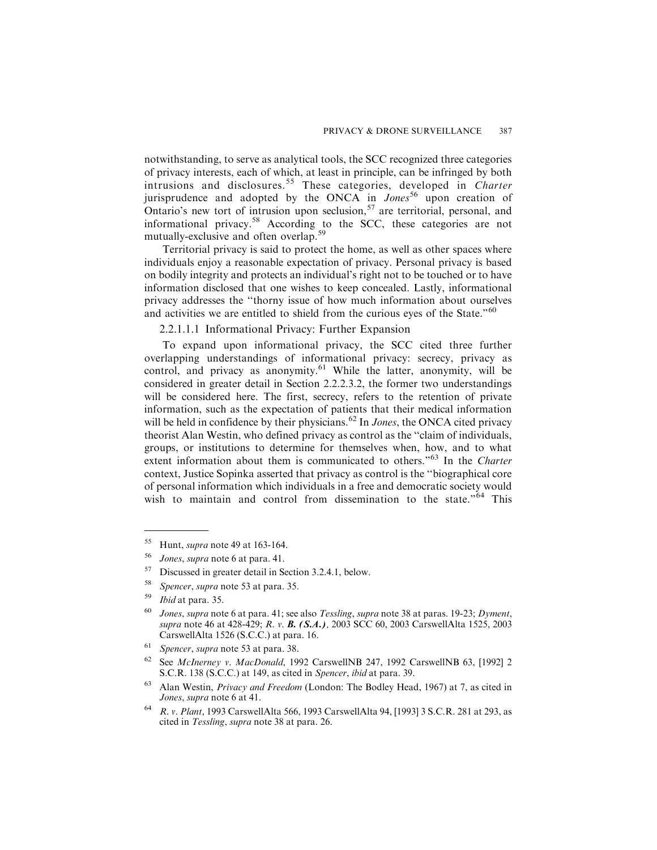notwithstanding, to serve as analytical tools, the SCC recognized three categories of privacy interests, each of which, at least in principle, can be infringed by both intrusions and disclosures.<sup>55</sup> These categories, developed in Charter jurisprudence and adopted by the ONCA in  $Jones^{56}$  upon creation of Ontario's new tort of intrusion upon seclusion,  $57$  are territorial, personal, and informational privacy.<sup>58</sup> According to the SCC, these categories are not mutually-exclusive and often overlap.<sup>59</sup>

Territorial privacy is said to protect the home, as well as other spaces where individuals enjoy a reasonable expectation of privacy. Personal privacy is based on bodily integrity and protects an individual's right not to be touched or to have information disclosed that one wishes to keep concealed. Lastly, informational privacy addresses the ''thorny issue of how much information about ourselves and activities we are entitled to shield from the curious eyes of the State."<sup>60</sup>

### 2.2.1.1.1 Informational Privacy: Further Expansion

To expand upon informational privacy, the SCC cited three further overlapping understandings of informational privacy: secrecy, privacy as control, and privacy as anonymity.<sup>61</sup> While the latter, anonymity, will be considered in greater detail in Section 2.2.2.3.2, the former two understandings will be considered here. The first, secrecy, refers to the retention of private information, such as the expectation of patients that their medical information will be held in confidence by their physicians.<sup>62</sup> In *Jones*, the ONCA cited privacy theorist Alan Westin, who defined privacy as control as the ''claim of individuals, groups, or institutions to determine for themselves when, how, and to what extent information about them is communicated to others."<sup>63</sup> In the Charter context, Justice Sopinka asserted that privacy as control is the ''biographical core of personal information which individuals in a free and democratic society would wish to maintain and control from dissemination to the state."<sup>64</sup> This

<sup>&</sup>lt;sup>55</sup> Hunt, *supra* note 49 at 163-164.

<sup>56</sup> Jones, supra note 6 at para. 41.

<sup>57</sup> Discussed in greater detail in Section 3.2.4.1, below.

<sup>58</sup> Spencer, supra note 53 at para. 35.

 $59$  *Ibid* at para. 35.

 $60$  Jones, supra note 6 at para. 41; see also Tessling, supra note 38 at paras. 19-23; Dyment, supra note 46 at 428-429; R. v. B. (S.A.), 2003 SCC 60, 2003 CarswellAlta 1525, 2003 CarswellAlta 1526 (S.C.C.) at para. 16.

 $61$  Spencer, supra note 53 at para. 38.

<sup>62</sup> See McInerney v. MacDonald, 1992 CarswellNB 247, 1992 CarswellNB 63, [1992] 2 S.C.R. 138 (S.C.C.) at 149, as cited in Spencer, ibid at para. 39.

 $63$  Alan Westin, *Privacy and Freedom* (London: The Bodley Head, 1967) at 7, as cited in Jones, supra note 6 at 41.

<sup>64</sup> R. v. Plant, 1993 CarswellAlta 566, 1993 CarswellAlta 94, [1993] 3 S.C.R. 281 at 293, as cited in Tessling, supra note 38 at para. 26.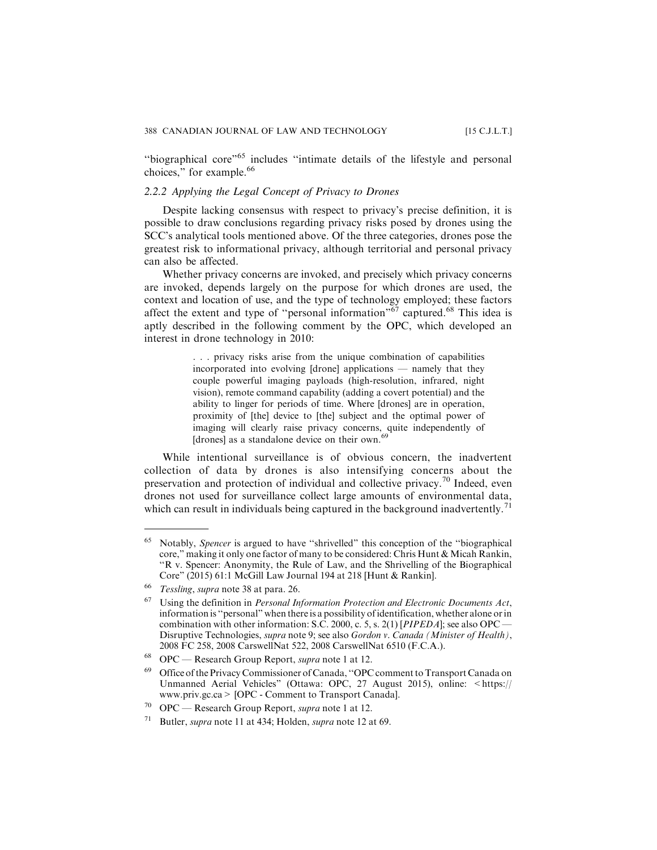''biographical core"<sup>65</sup> includes ''intimate details of the lifestyle and personal choices," for example.<sup>66</sup>

#### *2.2.2 Applying the Legal Concept of Privacy to Drones*

Despite lacking consensus with respect to privacy's precise definition, it is possible to draw conclusions regarding privacy risks posed by drones using the SCC's analytical tools mentioned above. Of the three categories, drones pose the greatest risk to informational privacy, although territorial and personal privacy can also be affected.

Whether privacy concerns are invoked, and precisely which privacy concerns are invoked, depends largely on the purpose for which drones are used, the context and location of use, and the type of technology employed; these factors affect the extent and type of "personal information"<sup>67</sup> captured.<sup>68</sup> This idea is aptly described in the following comment by the OPC, which developed an interest in drone technology in 2010:

> . . . privacy risks arise from the unique combination of capabilities incorporated into evolving [drone] applications — namely that they couple powerful imaging payloads (high-resolution, infrared, night vision), remote command capability (adding a covert potential) and the ability to linger for periods of time. Where [drones] are in operation, proximity of [the] device to [the] subject and the optimal power of imaging will clearly raise privacy concerns, quite independently of [drones] as a standalone device on their own.<sup>69</sup>

While intentional surveillance is of obvious concern, the inadvertent collection of data by drones is also intensifying concerns about the preservation and protection of individual and collective privacy.<sup>70</sup> Indeed, even drones not used for surveillance collect large amounts of environmental data, which can result in individuals being captured in the background inadvertently.<sup>71</sup>

<sup>65</sup> Notably, Spencer is argued to have ''shrivelled" this conception of the ''biographical core," making it only one factor of many to be considered: Chris Hunt & Micah Rankin, ''R v. Spencer: Anonymity, the Rule of Law, and the Shrivelling of the Biographical Core" (2015) 61:1 McGill Law Journal 194 at 218 [Hunt & Rankin].

<sup>66</sup> Tessling, supra note 38 at para. 26.

Using the definition in Personal Information Protection and Electronic Documents Act, information is ''personal" when there is a possibility of identification, whether alone or in combination with other information: S.C. 2000, c. 5, s. 2(1) [PIPEDA]; see also OPC -Disruptive Technologies, supra note 9; see also Gordon v. Canada (Minister of Health), 2008 FC 258, 2008 CarswellNat 522, 2008 CarswellNat 6510 (F.C.A.).

OPC — Research Group Report, *supra* note 1 at 12.

<sup>69</sup> Office of the Privacy Commissioner of Canada, ''OPC comment to Transport Canada on Unmanned Aerial Vehicles" (Ottawa: OPC, 27 August 2015), online: <https:// www.priv.gc.ca> [OPC - Comment to Transport Canada].

 $70$  OPC — Research Group Report, supra note 1 at 12.

<sup>&</sup>lt;sup>71</sup> Butler, *supra* note 11 at 434; Holden, *supra* note 12 at 69.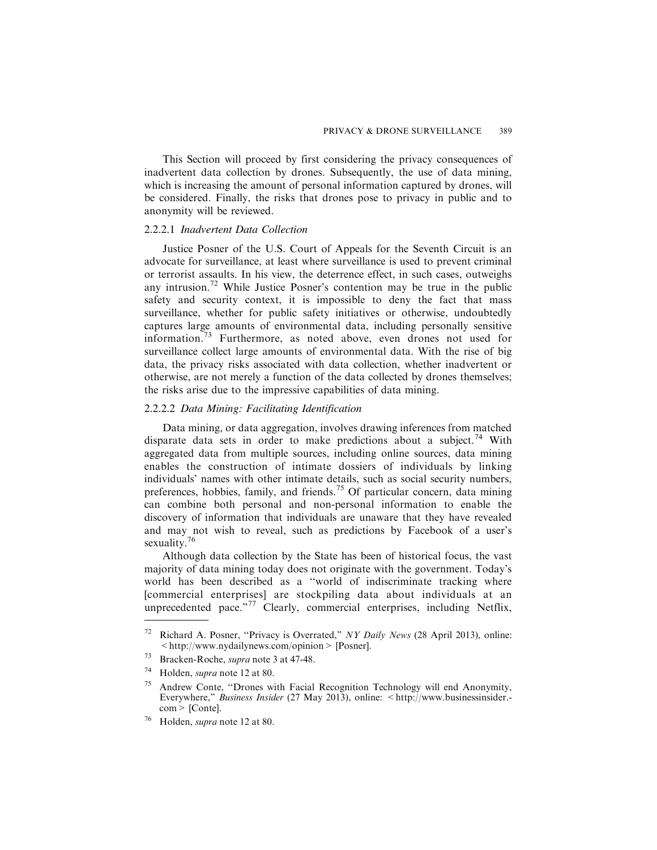This Section will proceed by first considering the privacy consequences of inadvertent data collection by drones. Subsequently, the use of data mining, which is increasing the amount of personal information captured by drones, will be considered. Finally, the risks that drones pose to privacy in public and to anonymity will be reviewed.

#### 2.2.2.1 *Inadvertent Data Collection*

Justice Posner of the U.S. Court of Appeals for the Seventh Circuit is an advocate for surveillance, at least where surveillance is used to prevent criminal or terrorist assaults. In his view, the deterrence effect, in such cases, outweighs any intrusion.<sup>72</sup> While Justice Posner's contention may be true in the public safety and security context, it is impossible to deny the fact that mass surveillance, whether for public safety initiatives or otherwise, undoubtedly captures large amounts of environmental data, including personally sensitive information.<sup>73</sup> Furthermore, as noted above, even drones not used for surveillance collect large amounts of environmental data. With the rise of big data, the privacy risks associated with data collection, whether inadvertent or otherwise, are not merely a function of the data collected by drones themselves; the risks arise due to the impressive capabilities of data mining.

## 2.2.2.2 *Data Mining: Facilitating Identification*

Data mining, or data aggregation, involves drawing inferences from matched disparate data sets in order to make predictions about a subject.<sup>74</sup> With aggregated data from multiple sources, including online sources, data mining enables the construction of intimate dossiers of individuals by linking individuals' names with other intimate details, such as social security numbers, preferences, hobbies, family, and friends.<sup>75</sup> Of particular concern, data mining can combine both personal and non-personal information to enable the discovery of information that individuals are unaware that they have revealed and may not wish to reveal, such as predictions by Facebook of a user's sexuality.<sup>76</sup>

Although data collection by the State has been of historical focus, the vast majority of data mining today does not originate with the government. Today's world has been described as a ''world of indiscriminate tracking where [commercial enterprises] are stockpiling data about individuals at an unprecedented pace."<sup>77</sup> Clearly, commercial enterprises, including Netflix,

<sup>&</sup>lt;sup>72</sup> Richard A. Posner, "Privacy is Overrated," NY Daily News (28 April 2013), online: <http://www.nydailynews.com/opinion> [Posner].

<sup>73</sup> Bracken-Roche, supra note 3 at 47-48.

<sup>74</sup> Holden, supra note 12 at 80.

<sup>75</sup> Andrew Conte, ''Drones with Facial Recognition Technology will end Anonymity, Everywhere," Business Insider (27 May 2013), online: <http://www.businessinsider.com> [Conte].

Holden, *supra* note 12 at 80.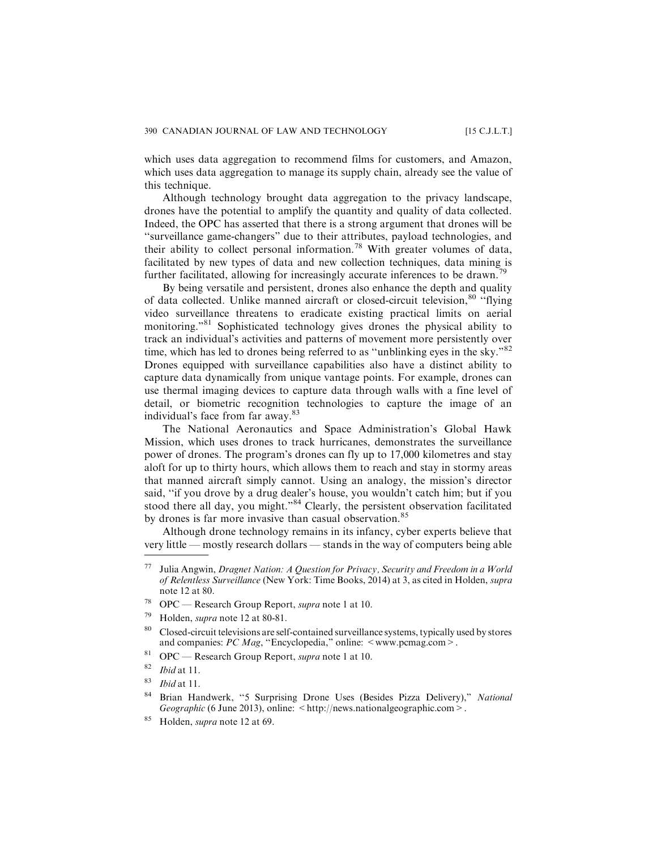which uses data aggregation to recommend films for customers, and Amazon, which uses data aggregation to manage its supply chain, already see the value of this technique.

Although technology brought data aggregation to the privacy landscape, drones have the potential to amplify the quantity and quality of data collected. Indeed, the OPC has asserted that there is a strong argument that drones will be ''surveillance game-changers" due to their attributes, payload technologies, and their ability to collect personal information.<sup>78</sup> With greater volumes of data, facilitated by new types of data and new collection techniques, data mining is further facilitated, allowing for increasingly accurate inferences to be drawn.<sup>79</sup>

By being versatile and persistent, drones also enhance the depth and quality of data collected. Unlike manned aircraft or closed-circuit television, <sup>80</sup> "flying video surveillance threatens to eradicate existing practical limits on aerial monitoring."<sup>81</sup> Sophisticated technology gives drones the physical ability to track an individual's activities and patterns of movement more persistently over time, which has led to drones being referred to as "unblinking eyes in the sky."<sup>82</sup> Drones equipped with surveillance capabilities also have a distinct ability to capture data dynamically from unique vantage points. For example, drones can use thermal imaging devices to capture data through walls with a fine level of detail, or biometric recognition technologies to capture the image of an individual's face from far away.<sup>83</sup>

The National Aeronautics and Space Administration's Global Hawk Mission, which uses drones to track hurricanes, demonstrates the surveillance power of drones. The program's drones can fly up to 17,000 kilometres and stay aloft for up to thirty hours, which allows them to reach and stay in stormy areas that manned aircraft simply cannot. Using an analogy, the mission's director said, ''if you drove by a drug dealer's house, you wouldn't catch him; but if you stood there all day, you might."<sup>84</sup> Clearly, the persistent observation facilitated by drones is far more invasive than casual observation.<sup>85</sup>

Although drone technology remains in its infancy, cyber experts believe that very little — mostly research dollars — stands in the way of computers being able

<sup>81</sup> OPC — Research Group Report, *supra* note 1 at 10.<br><sup>82</sup> *Ibid* at 11</sub>

Julia Angwin, Dragnet Nation: A Question for Privacy, Security and Freedom in a World of Relentless Surveillance (New York: Time Books, 2014) at 3, as cited in Holden, supra note 12 at 80.

<sup>&</sup>lt;sup>78</sup> OPC — Research Group Report, *supra* note 1 at 10.

<sup>79</sup> Holden, supra note 12 at 80-81.

<sup>&</sup>lt;sup>80</sup> Closed-circuit televisions are self-contained surveillance systems, typically used by stores and companies:  $PC\text{ Mag},$  "Encyclopedia," online:  $\leq$  www.pcmag.com  $\geq$ .

Ibid at 11.

 $83$  *Ibid* at 11.

<sup>84</sup> Brian Handwerk, "5 Surprising Drone Uses (Besides Pizza Delivery)," National Geographic (6 June 2013), online: <http://news.nationalgeographic.com>.

<sup>85</sup> Holden, *supra* note 12 at 69.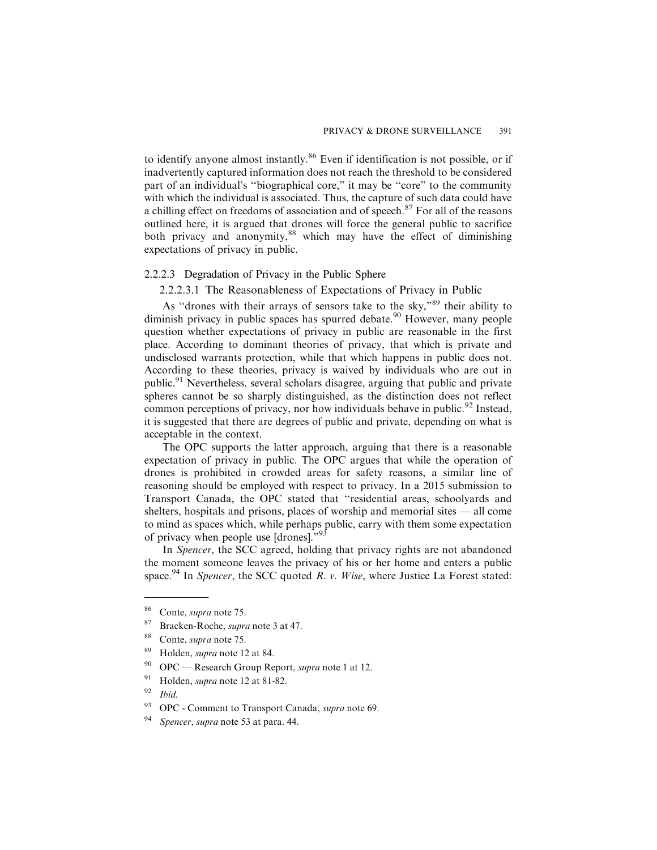to identify anyone almost instantly.<sup>86</sup> Even if identification is not possible, or if inadvertently captured information does not reach the threshold to be considered part of an individual's ''biographical core," it may be ''core" to the community with which the individual is associated. Thus, the capture of such data could have a chilling effect on freedoms of association and of speech.<sup>87</sup> For all of the reasons outlined here, it is argued that drones will force the general public to sacrifice both privacy and anonymity,<sup>88</sup> which may have the effect of diminishing expectations of privacy in public.

#### 2.2.2.3 Degradation of Privacy in the Public Sphere

2.2.2.3.1 The Reasonableness of Expectations of Privacy in Public

As ''drones with their arrays of sensors take to the sky,"<sup>89</sup> their ability to diminish privacy in public spaces has spurred debate.<sup>90</sup> However, many people question whether expectations of privacy in public are reasonable in the first place. According to dominant theories of privacy, that which is private and undisclosed warrants protection, while that which happens in public does not. According to these theories, privacy is waived by individuals who are out in public.<sup>91</sup> Nevertheless, several scholars disagree, arguing that public and private spheres cannot be so sharply distinguished, as the distinction does not reflect common perceptions of privacy, nor how individuals behave in public.<sup>92</sup> Instead, it is suggested that there are degrees of public and private, depending on what is acceptable in the context.

The OPC supports the latter approach, arguing that there is a reasonable expectation of privacy in public. The OPC argues that while the operation of drones is prohibited in crowded areas for safety reasons, a similar line of reasoning should be employed with respect to privacy. In a 2015 submission to Transport Canada, the OPC stated that ''residential areas, schoolyards and shelters, hospitals and prisons, places of worship and memorial sites — all come to mind as spaces which, while perhaps public, carry with them some expectation of privacy when people use [drones]."<sup>93</sup>

In Spencer, the SCC agreed, holding that privacy rights are not abandoned the moment someone leaves the privacy of his or her home and enters a public space.<sup>94</sup> In Spencer, the SCC quoted R. v. Wise, where Justice La Forest stated:

<sup>89</sup> Holden, supra note 12 at 84.

<sup>86</sup> Conte, supra note 75.

<sup>87</sup> Bracken-Roche, *supra* note 3 at 47.

<sup>88</sup> Conte, supra note 75.

 $90$  OPC — Research Group Report, *supra* note 1 at 12.

<sup>&</sup>lt;sup>91</sup> Holden, *supra* note 12 at 81-82.

 $92$  Ibid.

<sup>&</sup>lt;sup>93</sup> OPC - Comment to Transport Canada, *supra* note 69.

Spencer, supra note 53 at para. 44.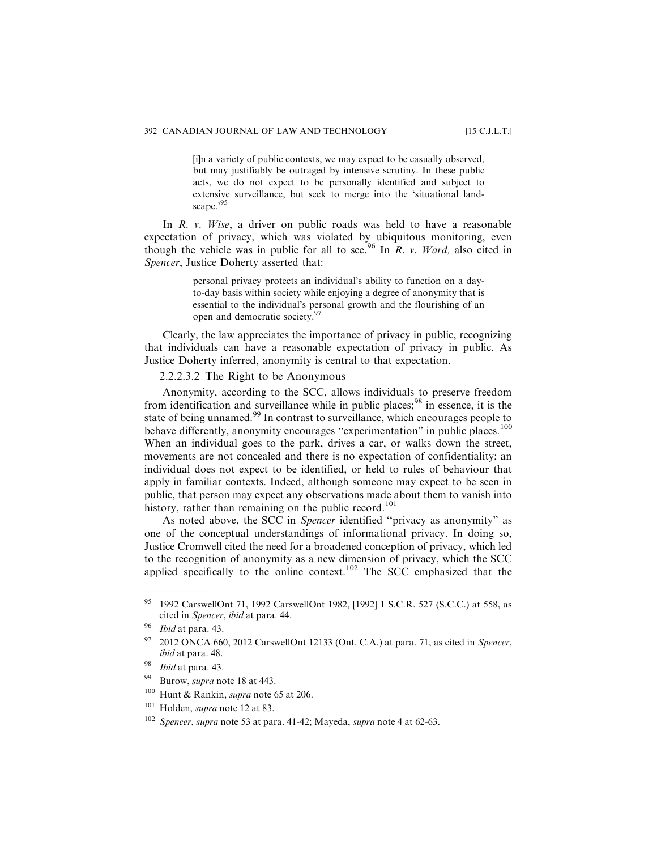[i]n a variety of public contexts, we may expect to be casually observed, but may justifiably be outraged by intensive scrutiny. In these public acts, we do not expect to be personally identified and subject to extensive surveillance, but seek to merge into the 'situational landscape.'95

In R. v. Wise, a driver on public roads was held to have a reasonable expectation of privacy, which was violated by ubiquitous monitoring, even though the vehicle was in public for all to see.<sup>96</sup> In R. v. Ward, also cited in Spencer, Justice Doherty asserted that:

> personal privacy protects an individual's ability to function on a dayto-day basis within society while enjoying a degree of anonymity that is essential to the individual's personal growth and the flourishing of an open and democratic society.<sup>97</sup>

Clearly, the law appreciates the importance of privacy in public, recognizing that individuals can have a reasonable expectation of privacy in public. As Justice Doherty inferred, anonymity is central to that expectation.

2.2.2.3.2 The Right to be Anonymous

Anonymity, according to the SCC, allows individuals to preserve freedom from identification and surveillance while in public places;  $^{98}$  in essence, it is the state of being unnamed.<sup>99</sup> In contrast to surveillance, which encourages people to behave differently, anonymity encourages "experimentation" in public places.<sup>100</sup> When an individual goes to the park, drives a car, or walks down the street, movements are not concealed and there is no expectation of confidentiality; an individual does not expect to be identified, or held to rules of behaviour that apply in familiar contexts. Indeed, although someone may expect to be seen in public, that person may expect any observations made about them to vanish into history, rather than remaining on the public record.<sup>101</sup>

As noted above, the SCC in Spencer identified ''privacy as anonymity" as one of the conceptual understandings of informational privacy. In doing so, Justice Cromwell cited the need for a broadened conception of privacy, which led to the recognition of anonymity as a new dimension of privacy, which the SCC applied specifically to the online context.<sup>102</sup> The SCC emphasized that the

- <sup>99</sup> Burow, *supra* note 18 at 443.
- $100$  Hunt & Rankin, supra note 65 at 206.
- <sup>101</sup> Holden, *supra* note 12 at 83.

<sup>95</sup> 1992 CarswellOnt 71, 1992 CarswellOnt 1982, [1992] 1 S.C.R. 527 (S.C.C.) at 558, as cited in Spencer, ibid at para. 44.

Ibid at para. 43.

<sup>2012</sup> ONCA 660, 2012 CarswellOnt 12133 (Ont. C.A.) at para. 71, as cited in Spencer, ibid at para. 48.

<sup>98</sup> *Ibid* at para. 43.

<sup>&</sup>lt;sup>102</sup> Spencer, supra note 53 at para. 41-42; Mayeda, supra note 4 at 62-63.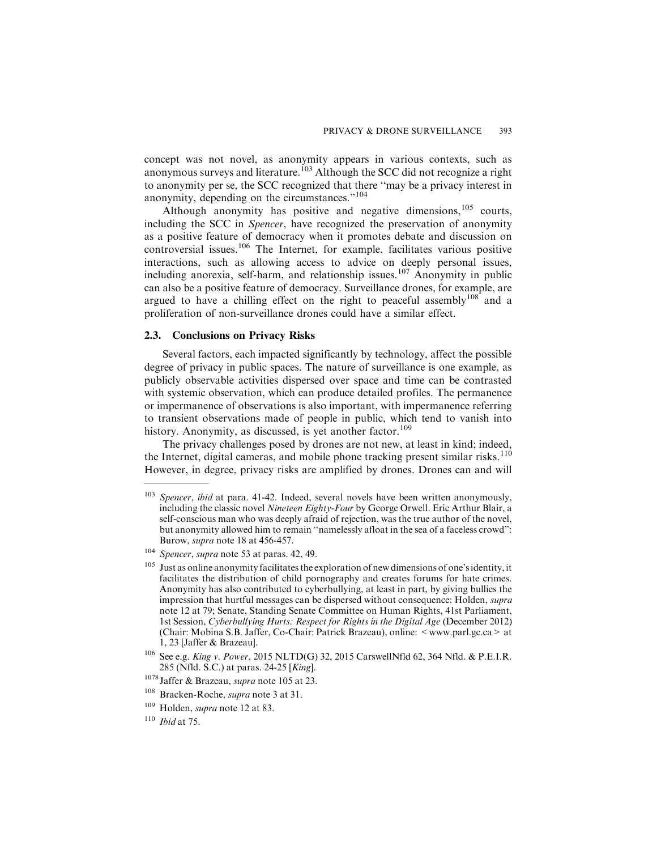concept was not novel, as anonymity appears in various contexts, such as anonymous surveys and literature.<sup>103</sup> Although the SCC did not recognize a right to anonymity per se, the SCC recognized that there ''may be a privacy interest in anonymity, depending on the circumstances."<sup>104</sup>

Although anonymity has positive and negative dimensions,<sup>105</sup> courts, including the SCC in Spencer, have recognized the preservation of anonymity as a positive feature of democracy when it promotes debate and discussion on controversial issues.<sup>106</sup> The Internet, for example, facilitates various positive interactions, such as allowing access to advice on deeply personal issues, including anorexia, self-harm, and relationship issues.<sup>107</sup> Anonymity in public can also be a positive feature of democracy. Surveillance drones, for example, are argued to have a chilling effect on the right to peaceful assembly<sup>108</sup> and a proliferation of non-surveillance drones could have a similar effect.

#### **2.3. Conclusions on Privacy Risks**

Several factors, each impacted significantly by technology, affect the possible degree of privacy in public spaces. The nature of surveillance is one example, as publicly observable activities dispersed over space and time can be contrasted with systemic observation, which can produce detailed profiles. The permanence or impermanence of observations is also important, with impermanence referring to transient observations made of people in public, which tend to vanish into history. Anonymity, as discussed, is yet another factor.<sup>109</sup>

The privacy challenges posed by drones are not new, at least in kind; indeed, the Internet, digital cameras, and mobile phone tracking present similar risks.<sup>110</sup> However, in degree, privacy risks are amplified by drones. Drones can and will

 $103$  Spencer, ibid at para. 41-42. Indeed, several novels have been written anonymously, including the classic novel Nineteen Eighty-Four by George Orwell. Eric Arthur Blair, a self-conscious man who was deeply afraid of rejection, was the true author of the novel, but anonymity allowed him to remain ''namelessly afloat in the sea of a faceless crowd": Burow, supra note 18 at 456-457.

<sup>&</sup>lt;sup>104</sup> Spencer, supra note 53 at paras. 42, 49.

<sup>&</sup>lt;sup>105</sup> Just as online anonymity facilitates the exploration of new dimensions of one's identity, it facilitates the distribution of child pornography and creates forums for hate crimes. Anonymity has also contributed to cyberbullying, at least in part, by giving bullies the impression that hurtful messages can be dispersed without consequence: Holden, supra note 12 at 79; Senate, Standing Senate Committee on Human Rights, 41st Parliament, 1st Session, Cyberbullying Hurts: Respect for Rights in the Digital Age (December 2012) (Chair: Mobina S.B. Jaffer, Co-Chair: Patrick Brazeau), online: <www.parl.gc.ca> at 1, 23 [Jaffer & Brazeau].

<sup>106</sup> See e.g. King v. Power, 2015 NLTD(G) 32, 2015 CarswellNfld 62, 364 Nfld. & P.E.I.R. 285 (Nfld. S.C.) at paras. 24-25 [King].

<sup>&</sup>lt;sup>1078</sup> Jaffer & Brazeau, *supra* note 105 at 23.

<sup>&</sup>lt;sup>108</sup> Bracken-Roche, *supra* note 3 at 31.

<sup>109</sup> Holden, supra note 12 at 83.

 $^{110}\,$  Ibid at 75.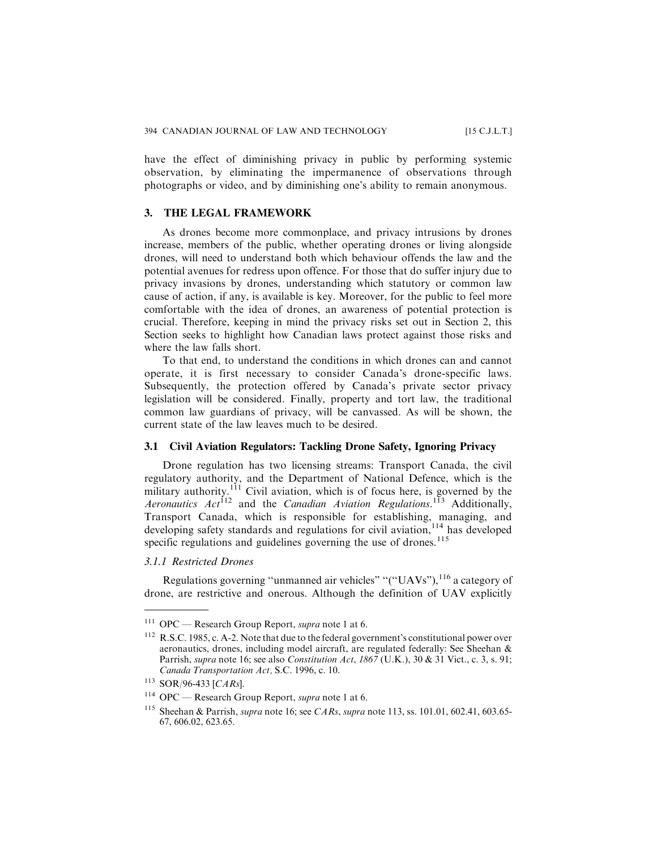have the effect of diminishing privacy in public by performing systemic observation, by eliminating the impermanence of observations through photographs or video, and by diminishing one's ability to remain anonymous.

#### **3. THE LEGAL FRAMEWORK**

As drones become more commonplace, and privacy intrusions by drones increase, members of the public, whether operating drones or living alongside drones, will need to understand both which behaviour offends the law and the potential avenues for redress upon offence. For those that do suffer injury due to privacy invasions by drones, understanding which statutory or common law cause of action, if any, is available is key. Moreover, for the public to feel more comfortable with the idea of drones, an awareness of potential protection is crucial. Therefore, keeping in mind the privacy risks set out in Section 2, this Section seeks to highlight how Canadian laws protect against those risks and where the law falls short.

To that end, to understand the conditions in which drones can and cannot operate, it is first necessary to consider Canada's drone-specific laws. Subsequently, the protection offered by Canada's private sector privacy legislation will be considered. Finally, property and tort law, the traditional common law guardians of privacy, will be canvassed. As will be shown, the current state of the law leaves much to be desired.

#### **3.1 Civil Aviation Regulators: Tackling Drone Safety, Ignoring Privacy**

Drone regulation has two licensing streams: Transport Canada, the civil regulatory authority, and the Department of National Defence, which is the military authority.<sup>111</sup> Civil aviation, which is of focus here, is governed by the Aeronautics  $Act^{112}$  and the Canadian Aviation Regulations.<sup>113</sup> Additionally, Transport Canada, which is responsible for establishing, managing, and developing safety standards and regulations for civil aviation,<sup>114</sup> has developed specific regulations and guidelines governing the use of drones. $115$ 

### *3.1.1 Restricted Drones*

Regulations governing "unmanned air vehicles" "("UAVs"),  $^{116}$  a category of drone, are restrictive and onerous. Although the definition of UAV explicitly

<sup>111</sup> OPC — Research Group Report, supra note 1 at 6.

<sup>&</sup>lt;sup>112</sup> R.S.C. 1985, c. A-2. Note that due to the federal government's constitutional power over aeronautics, drones, including model aircraft, are regulated federally: See Sheehan & Parrish, *supra* note 16; see also *Constitution Act*, 1867 (U.K.), 30 & 31 Vict., c. 3, s. 91; Canada Transportation Act, S.C. 1996, c. 10.

<sup>113</sup> SOR/96-433 [CARs].

<sup>&</sup>lt;sup>114</sup> OPC — Research Group Report, *supra* note 1 at 6.

<sup>&</sup>lt;sup>115</sup> Sheehan & Parrish, *supra* note 16; see *CARs, supra* note 113, ss. 101.01, 602.41, 603.65-67, 606.02, 623.65.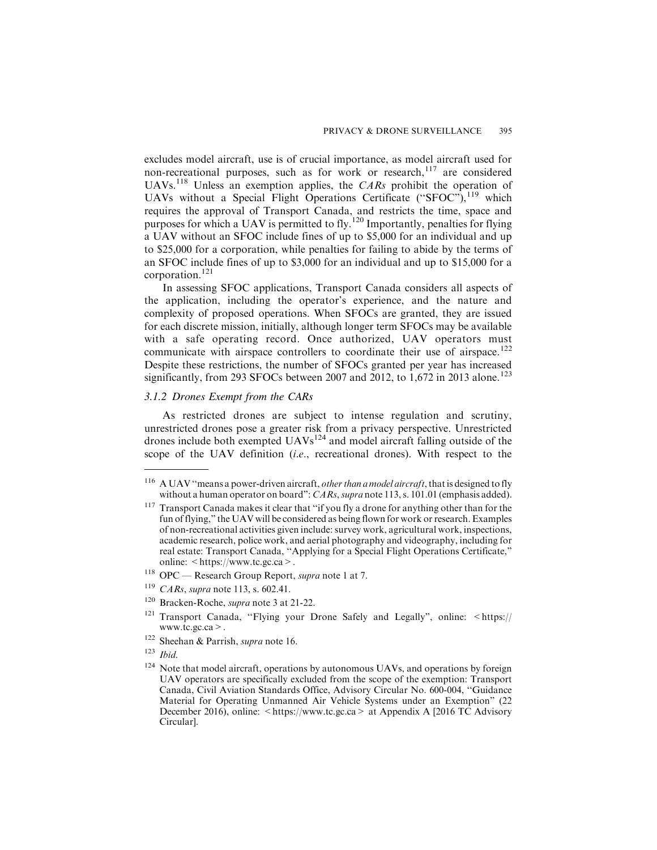excludes model aircraft, use is of crucial importance, as model aircraft used for non-recreational purposes, such as for work or research,<sup>117</sup> are considered UAVs.<sup>118</sup> Unless an exemption applies, the CARs prohibit the operation of UAVs without a Special Flight Operations Certificate ("SFOC"),<sup>119</sup> which requires the approval of Transport Canada, and restricts the time, space and purposes for which a UAV is permitted to fly.<sup>120</sup> Importantly, penalties for flying a UAV without an SFOC include fines of up to \$5,000 for an individual and up to \$25,000 for a corporation, while penalties for failing to abide by the terms of an SFOC include fines of up to \$3,000 for an individual and up to \$15,000 for a corporation.<sup>121</sup>

In assessing SFOC applications, Transport Canada considers all aspects of the application, including the operator's experience, and the nature and complexity of proposed operations. When SFOCs are granted, they are issued for each discrete mission, initially, although longer term SFOCs may be available with a safe operating record. Once authorized, UAV operators must communicate with airspace controllers to coordinate their use of airspace.<sup>122</sup> Despite these restrictions, the number of SFOCs granted per year has increased significantly, from 293 SFOCs between 2007 and 2012, to 1,672 in 2013 alone.<sup>123</sup>

#### *3.1.2 Drones Exempt from the CARs*

As restricted drones are subject to intense regulation and scrutiny, unrestricted drones pose a greater risk from a privacy perspective. Unrestricted drones include both exempted  $UAVs^{124}$  and model aircraft falling outside of the scope of the UAV definition (i.e., recreational drones). With respect to the

- <sup>122</sup> Sheehan & Parrish, *supra* note 16.
- $123$  *Ibid.*

<sup>&</sup>lt;sup>116</sup> A UAV "means a power-driven aircraft, *other than a model aircraft*, that is designed to fly without a human operator on board":  $CARS$ , supra note 113, s. 101.01 (emphasis added).

<sup>&</sup>lt;sup>117</sup> Transport Canada makes it clear that "if you fly a drone for anything other than for the fun of flying," the UAV will be considered as being flown for work or research. Examples of non-recreational activities given include: survey work, agricultural work, inspections, academic research, police work, and aerial photography and videography, including for real estate: Transport Canada, ''Applying for a Special Flight Operations Certificate," online: <https://www.tc.gc.ca>.

<sup>&</sup>lt;sup>118</sup> OPC — Research Group Report, *supra* note 1 at 7.

 $119$  CARs, supra note 113, s. 602.41.

<sup>120</sup> Bracken-Roche, supra note 3 at 21-22.

<sup>&</sup>lt;sup>121</sup> Transport Canada, "Flying your Drone Safely and Legally", online:  $\lt$ https:// www.tc.gc.ca>.

<sup>&</sup>lt;sup>124</sup> Note that model aircraft, operations by autonomous UAVs, and operations by foreign UAV operators are specifically excluded from the scope of the exemption: Transport Canada, Civil Aviation Standards Office, Advisory Circular No. 600-004, ''Guidance Material for Operating Unmanned Air Vehicle Systems under an Exemption" (22 December 2016), online:  $\langle$  https://www.tc.gc.ca  $>$  at Appendix A [2016 TC Advisory Circular].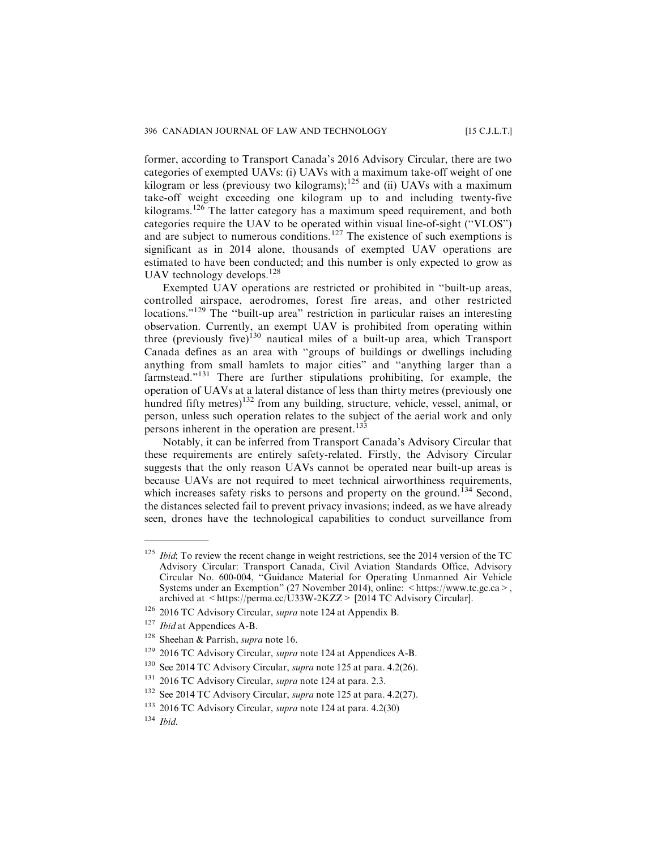former, according to Transport Canada's 2016 Advisory Circular, there are two categories of exempted UAVs: (i) UAVs with a maximum take-off weight of one kilogram or less (previousy two kilograms);<sup>125</sup> and (ii) UAVs with a maximum take-off weight exceeding one kilogram up to and including twenty-five kilograms.<sup>126</sup> The latter category has a maximum speed requirement, and both categories require the UAV to be operated within visual line-of-sight (''VLOS") and are subject to numerous conditions.<sup>127</sup> The existence of such exemptions is significant as in 2014 alone, thousands of exempted UAV operations are estimated to have been conducted; and this number is only expected to grow as UAV technology develops.<sup>128</sup>

Exempted UAV operations are restricted or prohibited in ''built-up areas, controlled airspace, aerodromes, forest fire areas, and other restricted locations."<sup>129</sup> The "built-up area" restriction in particular raises an interesting observation. Currently, an exempt UAV is prohibited from operating within three (previously five)<sup>130</sup> nautical miles of a built-up area, which Transport Canada defines as an area with ''groups of buildings or dwellings including anything from small hamlets to major cities" and ''anything larger than a farmstead."<sup>131</sup> There are further stipulations prohibiting, for example, the operation of UAVs at a lateral distance of less than thirty metres (previously one hundred fifty metres)<sup>132</sup> from any building, structure, vehicle, vessel, animal, or person, unless such operation relates to the subject of the aerial work and only persons inherent in the operation are present.<sup>133</sup>

Notably, it can be inferred from Transport Canada's Advisory Circular that these requirements are entirely safety-related. Firstly, the Advisory Circular suggests that the only reason UAVs cannot be operated near built-up areas is because UAVs are not required to meet technical airworthiness requirements, which increases safety risks to persons and property on the ground.<sup> $134$ </sup> Second, the distances selected fail to prevent privacy invasions; indeed, as we have already seen, drones have the technological capabilities to conduct surveillance from

 $125$  *Ibid*; To review the recent change in weight restrictions, see the 2014 version of the TC Advisory Circular: Transport Canada, Civil Aviation Standards Office, Advisory Circular No. 600-004, ''Guidance Material for Operating Unmanned Air Vehicle Systems under an Exemption" (27 November 2014), online: <https://www.tc.gc.ca>, archived at <https://perma.cc/U33W-2KZZ> [2014 TC Advisory Circular].

<sup>126</sup> 2016 TC Advisory Circular, supra note 124 at Appendix B.

<sup>&</sup>lt;sup>127</sup> *Ibid* at Appendices A-B.

<sup>&</sup>lt;sup>128</sup> Sheehan & Parrish, *supra* note 16.

<sup>&</sup>lt;sup>129</sup> 2016 TC Advisory Circular, *supra* note 124 at Appendices A-B.

 $130$  See 2014 TC Advisory Circular, *supra* note 125 at para. 4.2(26).

<sup>&</sup>lt;sup>131</sup> 2016 TC Advisory Circular, *supra* note 124 at para. 2.3.

<sup>&</sup>lt;sup>132</sup> See 2014 TC Advisory Circular, *supra* note 125 at para. 4.2(27).

<sup>&</sup>lt;sup>133</sup> 2016 TC Advisory Circular, *supra* note 124 at para. 4.2(30)

 $134$  Ibid.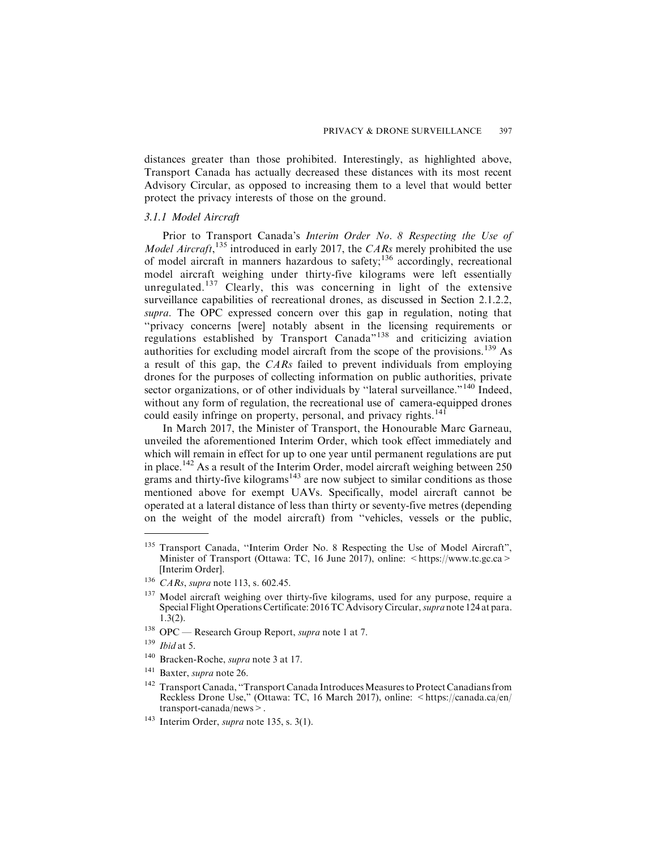distances greater than those prohibited. Interestingly, as highlighted above, Transport Canada has actually decreased these distances with its most recent Advisory Circular, as opposed to increasing them to a level that would better protect the privacy interests of those on the ground.

#### *3.1.1 Model Aircraft*

Prior to Transport Canada's Interim Order No. 8 Respecting the Use of Model Aircraft,<sup>135</sup> introduced in early 2017, the CARs merely prohibited the use of model aircraft in manners hazardous to safety;<sup>136</sup> accordingly, recreational model aircraft weighing under thirty-five kilograms were left essentially unregulated.<sup>137</sup> Clearly, this was concerning in light of the extensive surveillance capabilities of recreational drones, as discussed in Section 2.1.2.2, supra. The OPC expressed concern over this gap in regulation, noting that ''privacy concerns [were] notably absent in the licensing requirements or regulations established by Transport Canada"<sup>138</sup> and criticizing aviation authorities for excluding model aircraft from the scope of the provisions.<sup>139</sup> As a result of this gap, the CARs failed to prevent individuals from employing drones for the purposes of collecting information on public authorities, private sector organizations, or of other individuals by "lateral surveillance."<sup>140</sup> Indeed, without any form of regulation, the recreational use of camera-equipped drones could easily infringe on property, personal, and privacy rights.<sup>141</sup>

In March 2017, the Minister of Transport, the Honourable Marc Garneau, unveiled the aforementioned Interim Order, which took effect immediately and which will remain in effect for up to one year until permanent regulations are put in place.<sup>142</sup> As a result of the Interim Order, model aircraft weighing between  $\overline{250}$ grams and thirty-five kilograms<sup>143</sup> are now subject to similar conditions as those mentioned above for exempt UAVs. Specifically, model aircraft cannot be operated at a lateral distance of less than thirty or seventy-five metres (depending on the weight of the model aircraft) from ''vehicles, vessels or the public,

<sup>138</sup> OPC — Research Group Report, *supra* note 1 at 7.

- <sup>140</sup> Bracken-Roche, supra note 3 at 17.
- <sup>141</sup> Baxter, *supra* note 26.

<sup>143</sup> Interim Order, *supra* note 135, s.  $3(1)$ .

<sup>&</sup>lt;sup>135</sup> Transport Canada, "Interim Order No. 8 Respecting the Use of Model Aircraft", Minister of Transport (Ottawa: TC, 16 June 2017), online:  $\lt$ https://www.tc.gc.ca > [Interim Order].

<sup>136</sup> CARs, supra note 113, s. 602.45.

<sup>&</sup>lt;sup>137</sup> Model aircraft weighing over thirty-five kilograms, used for any purpose, require a Special Flight Operations Certificate: 2016 TC Advisory Circular, supra note 124 at para. 1.3(2).

 $^{139}$   $\emph{Ibid}$  at 5.

<sup>&</sup>lt;sup>142</sup> Transport Canada, "Transport Canada Introduces Measures to Protect Canadians from Reckless Drone Use," (Ottawa: TC, 16 March 2017), online: <https://canada.ca/en/ transport-canada/news>.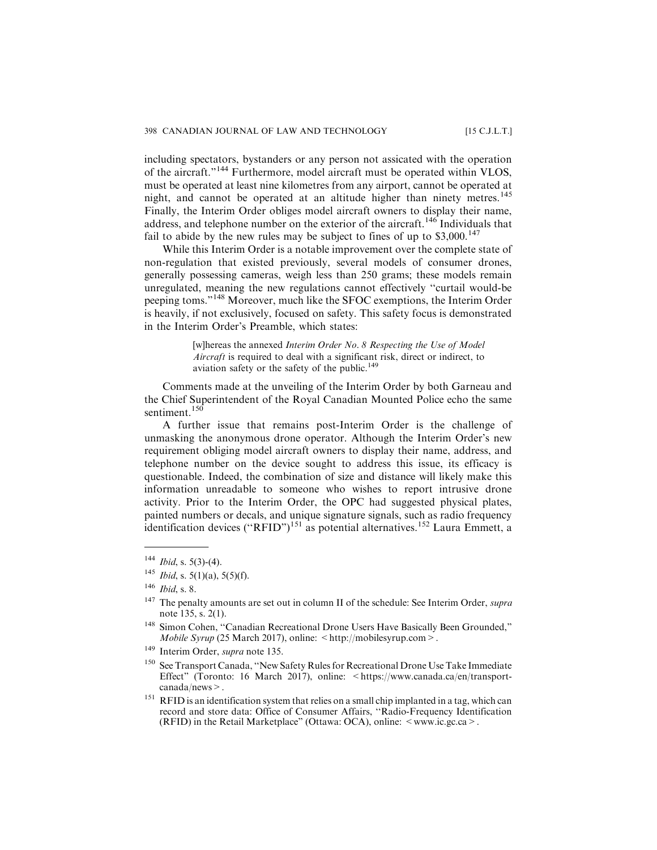including spectators, bystanders or any person not assicated with the operation of the aircraft."<sup>144</sup> Furthermore, model aircraft must be operated within VLOS, must be operated at least nine kilometres from any airport, cannot be operated at night, and cannot be operated at an altitude higher than ninety metres.<sup>145</sup> Finally, the Interim Order obliges model aircraft owners to display their name, address, and telephone number on the exterior of the aircraft.<sup>146</sup> Individuals that fail to abide by the new rules may be subject to fines of up to  $$3,000$ .<sup>147</sup>

While this Interim Order is a notable improvement over the complete state of non-regulation that existed previously, several models of consumer drones, generally possessing cameras, weigh less than 250 grams; these models remain unregulated, meaning the new regulations cannot effectively ''curtail would-be peeping toms."<sup>148</sup> Moreover, much like the SFOC exemptions, the Interim Order is heavily, if not exclusively, focused on safety. This safety focus is demonstrated in the Interim Order's Preamble, which states:

> [w]hereas the annexed *Interim Order No. 8 Respecting the Use of Model* Aircraft is required to deal with a significant risk, direct or indirect, to aviation safety or the safety of the public.<sup>149</sup>

Comments made at the unveiling of the Interim Order by both Garneau and the Chief Superintendent of the Royal Canadian Mounted Police echo the same sentiment.<sup>150</sup>

A further issue that remains post-Interim Order is the challenge of unmasking the anonymous drone operator. Although the Interim Order's new requirement obliging model aircraft owners to display their name, address, and telephone number on the device sought to address this issue, its efficacy is questionable. Indeed, the combination of size and distance will likely make this information unreadable to someone who wishes to report intrusive drone activity. Prior to the Interim Order, the OPC had suggested physical plates, painted numbers or decals, and unique signature signals, such as radio frequency identification devices ("RFID")<sup>151</sup> as potential alternatives.<sup>152</sup> Laura Emmett, a

 $144$  *Ibid*, s. 5(3)-(4).

<sup>&</sup>lt;sup>145</sup> *Ibid*, s. 5(1)(a), 5(5)(f).

<sup>146</sup> Ibid, s. 8.

<sup>&</sup>lt;sup>147</sup> The penalty amounts are set out in column II of the schedule: See Interim Order, *supra* note 135, s. 2(1).

<sup>&</sup>lt;sup>148</sup> Simon Cohen, "Canadian Recreational Drone Users Have Basically Been Grounded," Mobile Syrup (25 March 2017), online:  $\langle \text{http://mobilesyrup.com>} \rangle$ .

<sup>&</sup>lt;sup>149</sup> Interim Order, supra note 135.

<sup>&</sup>lt;sup>150</sup> See Transport Canada, "New Safety Rules for Recreational Drone Use Take Immediate Effect" (Toronto: 16 March 2017), online:  $\langle \text{https://www.canada.ca/en/transport--} \rangle$ canada/news>.

<sup>&</sup>lt;sup>151</sup> RFID is an identification system that relies on a small chip implanted in a tag, which can record and store data: Office of Consumer Affairs, ''Radio-Frequency Identification (RFID) in the Retail Marketplace" (Ottawa: OCA), online:  $\leq$  www.ic.gc.ca  $\geq$ .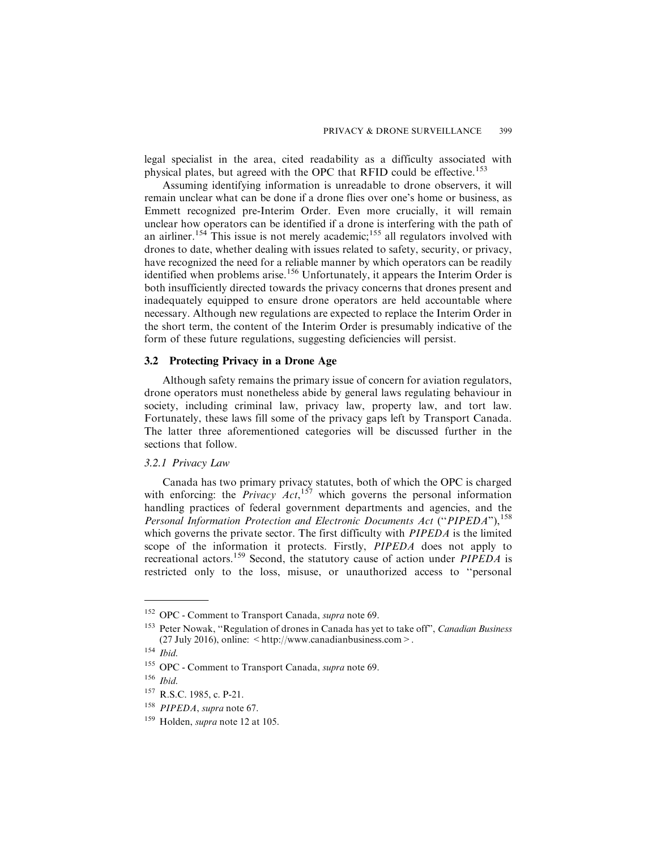legal specialist in the area, cited readability as a difficulty associated with physical plates, but agreed with the OPC that RFID could be effective.<sup>153</sup>

Assuming identifying information is unreadable to drone observers, it will remain unclear what can be done if a drone flies over one's home or business, as Emmett recognized pre-Interim Order. Even more crucially, it will remain unclear how operators can be identified if a drone is interfering with the path of an airliner.<sup>154</sup> This issue is not merely academic;<sup>155</sup> all regulators involved with drones to date, whether dealing with issues related to safety, security, or privacy, have recognized the need for a reliable manner by which operators can be readily identified when problems arise.<sup>156</sup> Unfortunately, it appears the Interim Order is both insufficiently directed towards the privacy concerns that drones present and inadequately equipped to ensure drone operators are held accountable where necessary. Although new regulations are expected to replace the Interim Order in the short term, the content of the Interim Order is presumably indicative of the form of these future regulations, suggesting deficiencies will persist.

## **3.2 Protecting Privacy in a Drone Age**

Although safety remains the primary issue of concern for aviation regulators, drone operators must nonetheless abide by general laws regulating behaviour in society, including criminal law, privacy law, property law, and tort law. Fortunately, these laws fill some of the privacy gaps left by Transport Canada. The latter three aforementioned categories will be discussed further in the sections that follow.

#### *3.2.1 Privacy Law*

Canada has two primary privacy statutes, both of which the OPC is charged with enforcing: the *Privacy Act*,<sup>157</sup> which governs the personal information handling practices of federal government departments and agencies, and the Personal Information Protection and Electronic Documents Act ("PIPEDA"), <sup>158</sup> which governs the private sector. The first difficulty with *PIPEDA* is the limited scope of the information it protects. Firstly, *PIPEDA* does not apply to recreational actors.<sup>159</sup> Second, the statutory cause of action under  $PIPEDA$  is restricted only to the loss, misuse, or unauthorized access to ''personal

<sup>&</sup>lt;sup>152</sup> OPC - Comment to Transport Canada, *supra* note 69.

<sup>&</sup>lt;sup>153</sup> Peter Nowak, "Regulation of drones in Canada has yet to take off", *Canadian Business* (27 July 2016), online: <http://www.canadianbusiness.com>.

 $^{154}$  Ibid.

<sup>&</sup>lt;sup>155</sup> OPC - Comment to Transport Canada, *supra* note 69.

<sup>156</sup> Ibid.

<sup>&</sup>lt;sup>157</sup> R.S.C. 1985, c. P-21.

<sup>&</sup>lt;sup>158</sup> PIPEDA, supra note 67.

<sup>159</sup> Holden, supra note 12 at 105.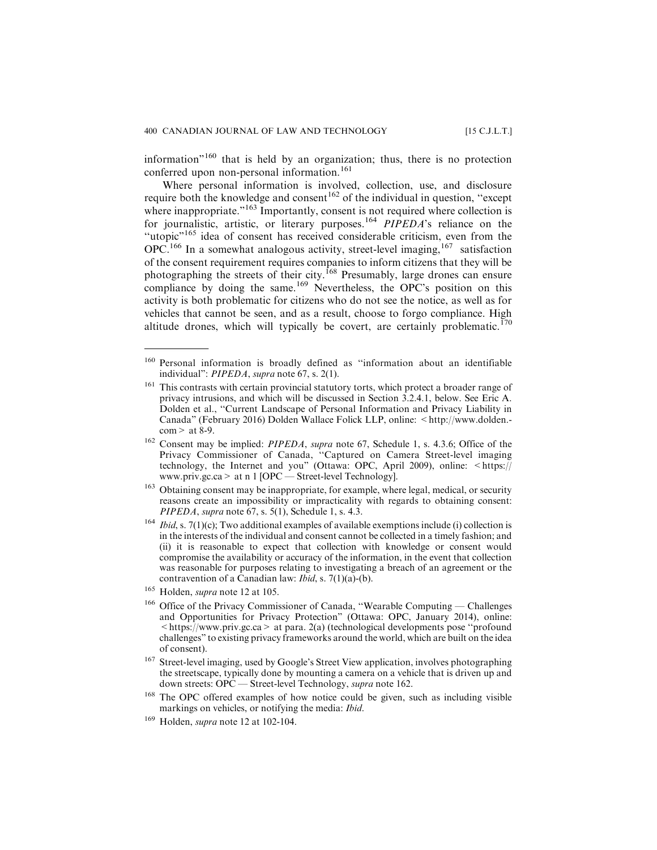information"<sup>160</sup> that is held by an organization; thus, there is no protection conferred upon non-personal information.<sup>161</sup>

Where personal information is involved, collection, use, and disclosure require both the knowledge and consent<sup>162</sup> of the individual in question, "except" where inappropriate."<sup>163</sup> Importantly, consent is not required where collection is for journalistic, artistic, or literary purposes.<sup>164</sup> PIPEDA's reliance on the "utopic"<sup>165</sup> idea of consent has received considerable criticism, even from the OPC.<sup>166</sup> In a somewhat analogous activity, street-level imaging, <sup>167</sup> satisfaction of the consent requirement requires companies to inform citizens that they will be photographing the streets of their city.<sup>168</sup> Presumably, large drones can ensure compliance by doing the same.<sup>169</sup> Nevertheless, the OPC's position on this activity is both problematic for citizens who do not see the notice, as well as for vehicles that cannot be seen, and as a result, choose to forgo compliance. High altitude drones, which will typically be covert, are certainly problematic.<sup>170</sup>

<sup>160</sup> Personal information is broadly defined as ''information about an identifiable individual": *PIPEDA*, *supra* note 67, s. 2(1).

<sup>&</sup>lt;sup>161</sup> This contrasts with certain provincial statutory torts, which protect a broader range of privacy intrusions, and which will be discussed in Section 3.2.4.1, below. See Eric A. Dolden et al., ''Current Landscape of Personal Information and Privacy Liability in Canada" (February 2016) Dolden Wallace Folick LLP, online: <http://www.dolden. $com > at 8-9.$ 

<sup>&</sup>lt;sup>162</sup> Consent may be implied: PIPEDA, supra note 67, Schedule 1, s. 4.3.6; Office of the Privacy Commissioner of Canada, ''Captured on Camera Street-level imaging technology, the Internet and you" (Ottawa: OPC, April 2009), online: <https:// www.priv.gc.ca> at n 1 [OPC — Street-level Technology].

<sup>&</sup>lt;sup>163</sup> Obtaining consent may be inappropriate, for example, where legal, medical, or security reasons create an impossibility or impracticality with regards to obtaining consent: PIPEDA, supra note 67, s. 5(1), Schedule 1, s. 4.3.

<sup>&</sup>lt;sup>164</sup> *Ibid*, s. 7(1)(c); Two additional examples of available exemptions include (i) collection is in the interests of the individual and consent cannot be collected in a timely fashion; and (ii) it is reasonable to expect that collection with knowledge or consent would compromise the availability or accuracy of the information, in the event that collection was reasonable for purposes relating to investigating a breach of an agreement or the contravention of a Canadian law: *Ibid*, s. 7(1)(a)-(b).

<sup>&</sup>lt;sup>165</sup> Holden, *supra* note 12 at 105.

<sup>&</sup>lt;sup>166</sup> Office of the Privacy Commissioner of Canada, "Wearable Computing — Challenges and Opportunities for Privacy Protection" (Ottawa: OPC, January 2014), online: <https://www.priv.gc.ca> at para. 2(a) (technological developments pose ''profound challenges" to existing privacy frameworks around the world, which are built on the idea of consent).

<sup>&</sup>lt;sup>167</sup> Street-level imaging, used by Google's Street View application, involves photographing the streetscape, typically done by mounting a camera on a vehicle that is driven up and down streets: OPC - Street-level Technology, supra note 162.

<sup>&</sup>lt;sup>168</sup> The OPC offered examples of how notice could be given, such as including visible markings on vehicles, or notifying the media: Ibid.

<sup>169</sup> Holden, supra note 12 at 102-104.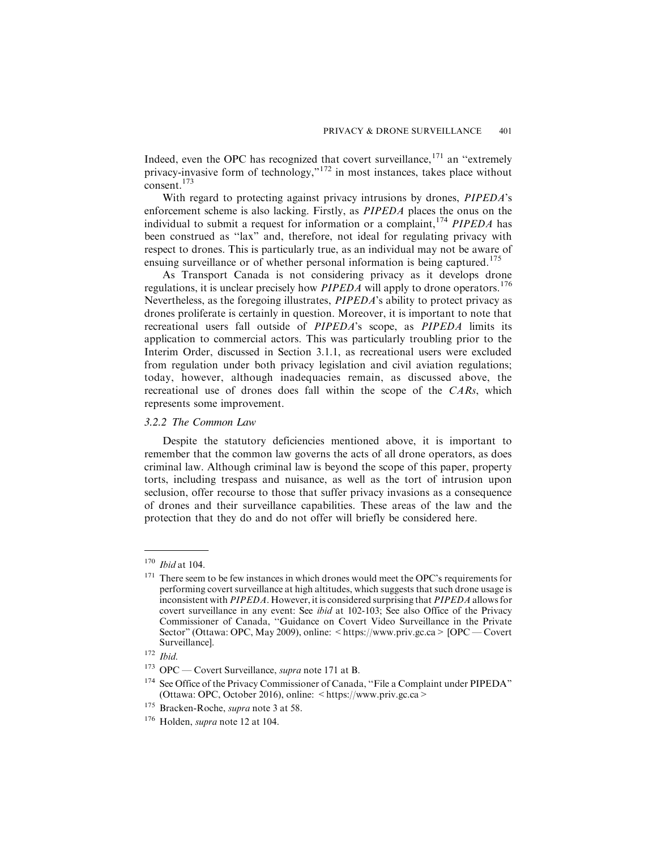Indeed, even the OPC has recognized that covert surveillance,<sup>171</sup> an "extremely privacy-invasive form of technology,"<sup>172</sup> in most instances, takes place without consent.<sup>173</sup>

With regard to protecting against privacy intrusions by drones, PIPEDA's enforcement scheme is also lacking. Firstly, as PIPEDA places the onus on the individual to submit a request for information or a complaint,  $^{174}$  PIPEDA has been construed as ''lax" and, therefore, not ideal for regulating privacy with respect to drones. This is particularly true, as an individual may not be aware of ensuing surveillance or of whether personal information is being captured.<sup>175</sup>

As Transport Canada is not considering privacy as it develops drone regulations, it is unclear precisely how  $PIPEDA$  will apply to drone operators.<sup>176</sup> Nevertheless, as the foregoing illustrates, PIPEDA's ability to protect privacy as drones proliferate is certainly in question. Moreover, it is important to note that recreational users fall outside of PIPEDA's scope, as PIPEDA limits its application to commercial actors. This was particularly troubling prior to the Interim Order, discussed in Section 3.1.1, as recreational users were excluded from regulation under both privacy legislation and civil aviation regulations; today, however, although inadequacies remain, as discussed above, the recreational use of drones does fall within the scope of the CARs, which represents some improvement.

#### *3.2.2 The Common Law*

Despite the statutory deficiencies mentioned above, it is important to remember that the common law governs the acts of all drone operators, as does criminal law. Although criminal law is beyond the scope of this paper, property torts, including trespass and nuisance, as well as the tort of intrusion upon seclusion, offer recourse to those that suffer privacy invasions as a consequence of drones and their surveillance capabilities. These areas of the law and the protection that they do and do not offer will briefly be considered here.

 $^{\rm 170}$   $\it Ibid$  at 104.

<sup>&</sup>lt;sup>171</sup> There seem to be few instances in which drones would meet the OPC's requirements for performing covert surveillance at high altitudes, which suggests that such drone usage is inconsistent with PIPEDA. However, it is considered surprising that PIPEDA allows for covert surveillance in any event: See ibid at 102-103; See also Office of the Privacy Commissioner of Canada, ''Guidance on Covert Video Surveillance in the Private Sector" (Ottawa: OPC, May 2009), online: <https://www.priv.gc.ca> [OPC — Covert] Surveillance].

 $172$  *Ibid.* 

<sup>&</sup>lt;sup>173</sup> OPC — Covert Surveillance, *supra* note 171 at B.

<sup>&</sup>lt;sup>174</sup> See Office of the Privacy Commissioner of Canada, "File a Complaint under PIPEDA" (Ottawa: OPC, October 2016), online: <https://www.priv.gc.ca>

<sup>&</sup>lt;sup>175</sup> Bracken-Roche, *supra* note 3 at 58.

<sup>176</sup> Holden, supra note 12 at 104.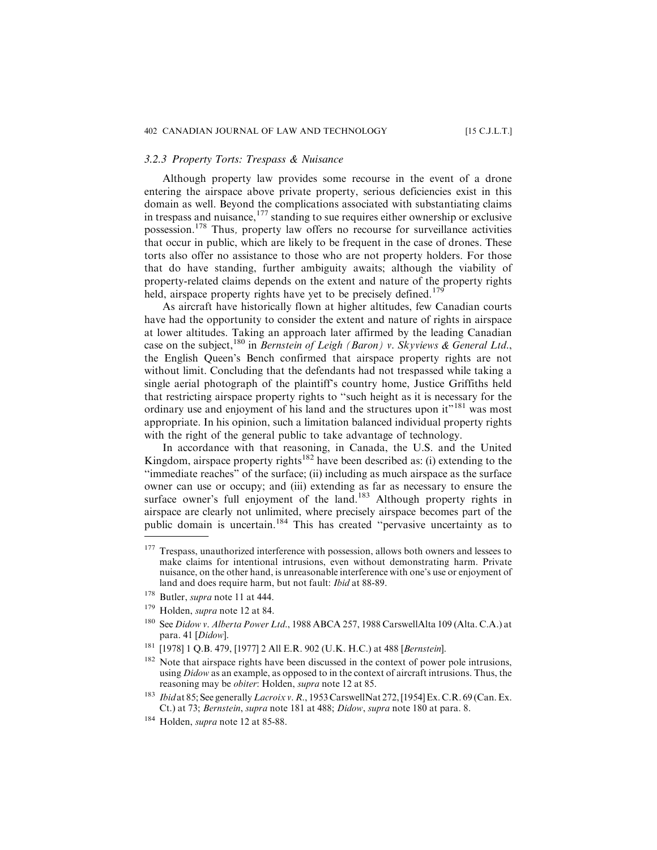#### *3.2.3 Property Torts: Trespass & Nuisance*

Although property law provides some recourse in the event of a drone entering the airspace above private property, serious deficiencies exist in this domain as well. Beyond the complications associated with substantiating claims in trespass and nuisance,  $177$  standing to sue requires either ownership or exclusive possession.<sup>178</sup> Thus, property law offers no recourse for surveillance activities that occur in public, which are likely to be frequent in the case of drones. These torts also offer no assistance to those who are not property holders. For those that do have standing, further ambiguity awaits; although the viability of property-related claims depends on the extent and nature of the property rights held, airspace property rights have yet to be precisely defined.<sup>179</sup>

As aircraft have historically flown at higher altitudes, few Canadian courts have had the opportunity to consider the extent and nature of rights in airspace at lower altitudes. Taking an approach later affirmed by the leading Canadian case on the subject,  $^{180}$  in Bernstein of Leigh (Baron) v. Skyviews & General Ltd., the English Queen's Bench confirmed that airspace property rights are not without limit. Concluding that the defendants had not trespassed while taking a single aerial photograph of the plaintiff's country home, Justice Griffiths held that restricting airspace property rights to ''such height as it is necessary for the ordinary use and enjoyment of his land and the structures upon it"<sup>181</sup> was most appropriate. In his opinion, such a limitation balanced individual property rights with the right of the general public to take advantage of technology.

In accordance with that reasoning, in Canada, the U.S. and the United Kingdom, airspace property rights<sup>182</sup> have been described as: (i) extending to the ''immediate reaches" of the surface; (ii) including as much airspace as the surface owner can use or occupy; and (iii) extending as far as necessary to ensure the surface owner's full enjoyment of the land.<sup>183</sup> Although property rights in airspace are clearly not unlimited, where precisely airspace becomes part of the public domain is uncertain.<sup>184</sup> This has created "pervasive uncertainty as to

<sup>&</sup>lt;sup>177</sup> Trespass, unauthorized interference with possession, allows both owners and lessees to make claims for intentional intrusions, even without demonstrating harm. Private nuisance, on the other hand, is unreasonable interference with one's use or enjoyment of land and does require harm, but not fault: Ibid at 88-89.

<sup>&</sup>lt;sup>178</sup> Butler, *supra* note 11 at 444.

Holden, supra note 12 at 84.

<sup>&</sup>lt;sup>180</sup> See Didow v. Alberta Power Ltd., 1988 ABCA 257, 1988 CarswellAlta 109 (Alta. C.A.) at para. 41 [Didow].

<sup>181</sup> [1978] 1 Q.B. 479, [1977] 2 All E.R. 902 (U.K. H.C.) at 488 [Bernstein].

<sup>&</sup>lt;sup>182</sup> Note that airspace rights have been discussed in the context of power pole intrusions, using *Didow* as an example, as opposed to in the context of aircraft intrusions. Thus, the reasoning may be obiter: Holden, supra note 12 at 85.

<sup>&</sup>lt;sup>183</sup> Ibid at 85; See generally Lacroix v. R., 1953 CarswellNat 272, [1954] Ex. C.R. 69 (Can. Ex. Ct.) at 73; Bernstein, supra note 181 at 488; Didow, supra note 180 at para. 8.

<sup>&</sup>lt;sup>184</sup> Holden, *supra* note 12 at 85-88.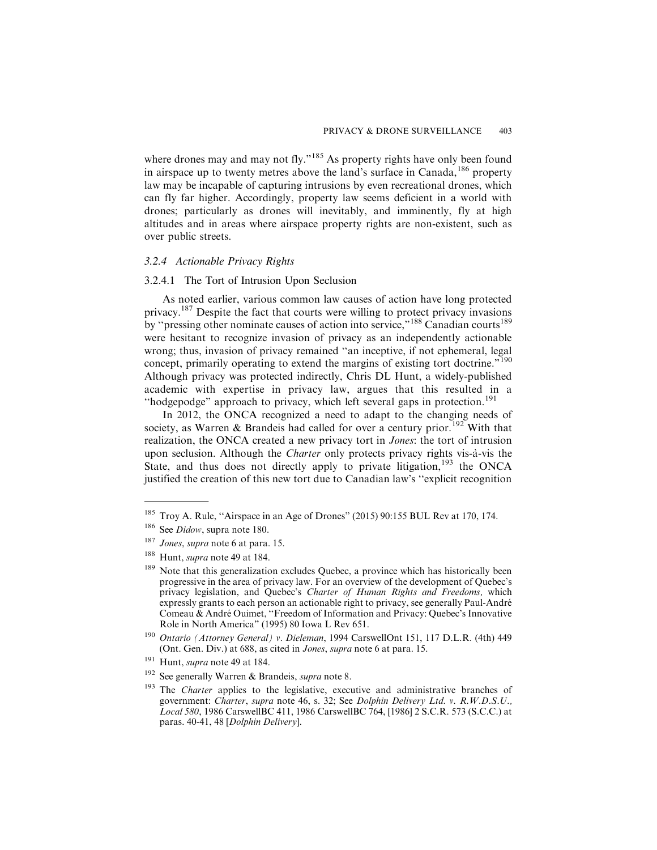where drones may and may not fly."<sup>185</sup> As property rights have only been found in airspace up to twenty metres above the land's surface in Canada,<sup>186</sup> property law may be incapable of capturing intrusions by even recreational drones, which can fly far higher. Accordingly, property law seems deficient in a world with drones; particularly as drones will inevitably, and imminently, fly at high altitudes and in areas where airspace property rights are non-existent, such as over public streets.

#### *3.2.4 Actionable Privacy Rights*

#### 3.2.4.1 The Tort of Intrusion Upon Seclusion

As noted earlier, various common law causes of action have long protected privacy.<sup>187</sup> Despite the fact that courts were willing to protect privacy invasions by "pressing other nominate causes of action into service,"<sup>188</sup> Canadian courts<sup>189</sup> were hesitant to recognize invasion of privacy as an independently actionable wrong; thus, invasion of privacy remained ''an inceptive, if not ephemeral, legal concept, primarily operating to extend the margins of existing tort doctrine."<sup>190</sup> Although privacy was protected indirectly, Chris DL Hunt, a widely-published academic with expertise in privacy law, argues that this resulted in a "hodgepodge" approach to privacy, which left several gaps in protection.<sup>191</sup>

In 2012, the ONCA recognized a need to adapt to the changing needs of society, as Warren & Brandeis had called for over a century prior.<sup>192</sup> With that realization, the ONCA created a new privacy tort in Jones: the tort of intrusion upon seclusion. Although the *Charter* only protects privacy rights vis-à-vis the State, and thus does not directly apply to private litigation,<sup>193</sup> the ONCA justified the creation of this new tort due to Canadian law's ''explicit recognition

<sup>&</sup>lt;sup>185</sup> Troy A. Rule, "Airspace in an Age of Drones" (2015) 90:155 BUL Rev at 170, 174.

<sup>186</sup> See Didow, supra note 180.

<sup>&</sup>lt;sup>187</sup> Jones, supra note 6 at para. 15.

<sup>&</sup>lt;sup>188</sup> Hunt, *supra* note 49 at 184.

<sup>&</sup>lt;sup>189</sup> Note that this generalization excludes Quebec, a province which has historically been progressive in the area of privacy law. For an overview of the development of Quebec's privacy legislation, and Quebec's Charter of Human Rights and Freedoms, which expressly grants to each person an actionable right to privacy, see generally Paul-André Comeau  $\&$  André Ouimet, "Freedom of Information and Privacy: Quebec's Innovative Role in North America" (1995) 80 Iowa L Rev 651.

<sup>190</sup> Ontario (Attorney General) v. Dieleman, 1994 CarswellOnt 151, 117 D.L.R. (4th) 449 (Ont. Gen. Div.) at 688, as cited in Jones, supra note 6 at para. 15.

<sup>&</sup>lt;sup>191</sup> Hunt, *supra* note 49 at 184.

<sup>&</sup>lt;sup>192</sup> See generally Warren & Brandeis, *supra* note 8.

 $193$  The *Charter* applies to the legislative, executive and administrative branches of government: Charter, supra note 46, s. 32; See Dolphin Delivery Ltd. v. R.W.D.S.U., Local 580, 1986 CarswellBC 411, 1986 CarswellBC 764, [1986] 2 S.C.R. 573 (S.C.C.) at paras. 40-41, 48 [Dolphin Delivery].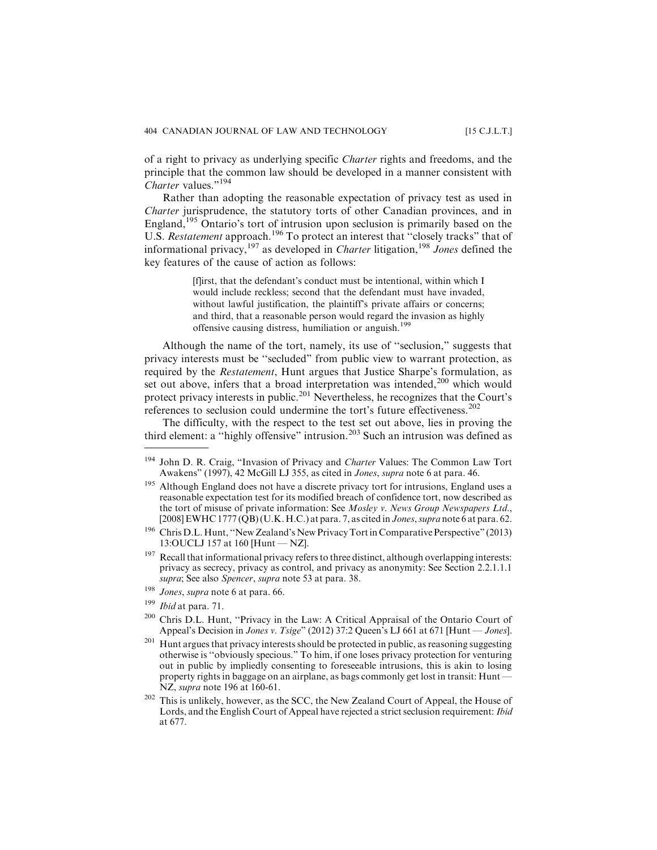of a right to privacy as underlying specific Charter rights and freedoms, and the principle that the common law should be developed in a manner consistent with Charter values."<sup>194</sup>

Rather than adopting the reasonable expectation of privacy test as used in Charter jurisprudence, the statutory torts of other Canadian provinces, and in England,<sup>195</sup> Ontario's tort of intrusion upon seclusion is primarily based on the U.S. Restatement approach.<sup>196</sup> To protect an interest that "closely tracks" that of informational privacy,<sup>197</sup> as developed in *Charter* litigation,<sup>198</sup> Jones defined the key features of the cause of action as follows:

> [f]irst, that the defendant's conduct must be intentional, within which I would include reckless; second that the defendant must have invaded, without lawful justification, the plaintiff's private affairs or concerns; and third, that a reasonable person would regard the invasion as highly offensive causing distress, humiliation or anguish.<sup>199</sup>

Although the name of the tort, namely, its use of ''seclusion," suggests that privacy interests must be ''secluded" from public view to warrant protection, as required by the Restatement, Hunt argues that Justice Sharpe's formulation, as set out above, infers that a broad interpretation was intended,<sup>200</sup> which would protect privacy interests in public.<sup>201</sup> Nevertheless, he recognizes that the Court's references to seclusion could undermine the tort's future effectiveness.<sup>202</sup>

The difficulty, with the respect to the test set out above, lies in proving the third element: a ''highly offensive" intrusion.<sup>203</sup> Such an intrusion was defined as

<sup>194</sup> John D. R. Craig, "Invasion of Privacy and Charter Values: The Common Law Tort Awakens" (1997), 42 McGill LJ 355, as cited in Jones, supra note 6 at para. 46.

<sup>&</sup>lt;sup>195</sup> Although England does not have a discrete privacy tort for intrusions, England uses a reasonable expectation test for its modified breach of confidence tort, now described as the tort of misuse of private information: See Mosley v. News Group Newspapers Ltd., [2008] EWHC 1777 (QB) (U.K. H.C.) at para. 7, as cited in Jones, supra note 6 at para. 62.

<sup>196</sup> Chris D.L. Hunt, ''New Zealand's New Privacy Tort in Comparative Perspective" (2013) 13:OUCLJ 157 at 160 [Hunt — NZ].

 $197$  Recall that informational privacy refers to three distinct, although overlapping interests: privacy as secrecy, privacy as control, and privacy as anonymity: See Section 2.2.1.1.1 supra; See also Spencer, supra note 53 at para. 38.

<sup>&</sup>lt;sup>198</sup> Jones, supra note 6 at para. 66.

<sup>199</sup> Ibid at para. 71.

<sup>200</sup> Chris D.L. Hunt, ''Privacy in the Law: A Critical Appraisal of the Ontario Court of Appeal's Decision in *Jones v. Tsige*" (2012) 37:2 Queen's LJ 661 at 671 [Hunt — *Jones*].

 $201$  Hunt argues that privacy interests should be protected in public, as reasoning suggesting otherwise is ''obviously specious." To him, if one loses privacy protection for venturing out in public by impliedly consenting to foreseeable intrusions, this is akin to losing property rights in baggage on an airplane, as bags commonly get lost in transit: Hunt — NZ, supra note 196 at 160-61.

<sup>&</sup>lt;sup>202</sup> This is unlikely, however, as the SCC, the New Zealand Court of Appeal, the House of Lords, and the English Court of Appeal have rejected a strict seclusion requirement: Ibid at 677.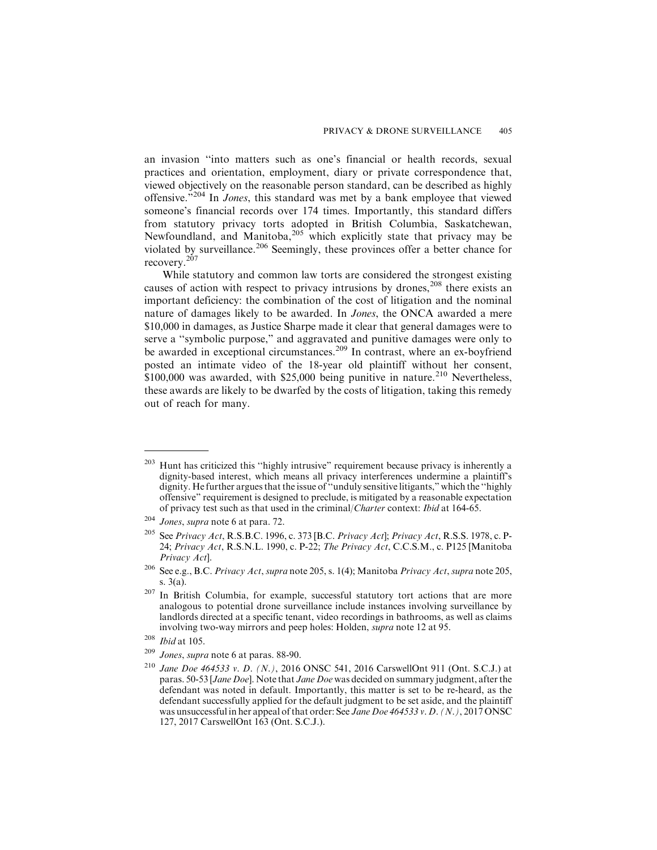an invasion ''into matters such as one's financial or health records, sexual practices and orientation, employment, diary or private correspondence that, viewed objectively on the reasonable person standard, can be described as highly offensive."<sup>204</sup> In Jones, this standard was met by a bank employee that viewed someone's financial records over 174 times. Importantly, this standard differs from statutory privacy torts adopted in British Columbia, Saskatchewan, Newfoundland, and Manitoba,  $205$  which explicitly state that privacy may be violated by surveillance.<sup>206</sup> Seemingly, these provinces offer a better chance for recovery.<sup>207</sup>

While statutory and common law torts are considered the strongest existing causes of action with respect to privacy intrusions by drones,  $^{208}$  there exists an important deficiency: the combination of the cost of litigation and the nominal nature of damages likely to be awarded. In Jones, the ONCA awarded a mere \$10,000 in damages, as Justice Sharpe made it clear that general damages were to serve a ''symbolic purpose," and aggravated and punitive damages were only to be awarded in exceptional circumstances.<sup>209</sup> In contrast, where an ex-boyfriend posted an intimate video of the 18-year old plaintiff without her consent,  $$100,000$  was awarded, with  $$25,000$  being punitive in nature.<sup>210</sup> Nevertheless, these awards are likely to be dwarfed by the costs of litigation, taking this remedy out of reach for many.

 $203$  Hunt has criticized this "highly intrusive" requirement because privacy is inherently a dignity-based interest, which means all privacy interferences undermine a plaintiff's dignity. He further argues that the issue of ''unduly sensitive litigants," which the ''highly offensive" requirement is designed to preclude, is mitigated by a reasonable expectation of privacy test such as that used in the criminal/Charter context: Ibid at 164-65.

<sup>204</sup> Jones, supra note 6 at para. 72.

<sup>&</sup>lt;sup>205</sup> See Privacy Act, R.S.B.C. 1996, c. 373 [B.C. Privacy Act]; Privacy Act, R.S.S. 1978, c. P-24; Privacy Act, R.S.N.L. 1990, c. P-22; The Privacy Act, C.C.S.M., c. P125 [Manitoba Privacy Act].

<sup>&</sup>lt;sup>206</sup> See e.g., B.C. Privacy Act, supra note 205, s. 1(4); Manitoba Privacy Act, supra note 205, s. 3(a).

<sup>&</sup>lt;sup>207</sup> In British Columbia, for example, successful statutory tort actions that are more analogous to potential drone surveillance include instances involving surveillance by landlords directed at a specific tenant, video recordings in bathrooms, as well as claims involving two-way mirrors and peep holes: Holden, supra note 12 at 95.

 $208$  *Ibid* at 105.

<sup>209</sup> Jones, supra note 6 at paras. 88-90.

<sup>210</sup> Jane Doe 464533 v. D. (N.), 2016 ONSC 541, 2016 CarswellOnt 911 (Ont. S.C.J.) at paras. 50-53 [Jane Doe]. Note that Jane Doe was decided on summary judgment, after the defendant was noted in default. Importantly, this matter is set to be re-heard, as the defendant successfully applied for the default judgment to be set aside, and the plaintiff was unsuccessful in her appeal of that order: See *Jane Doe 464533 v. D. (N.)*, 2017 ONSC 127, 2017 CarswellOnt 163 (Ont. S.C.J.).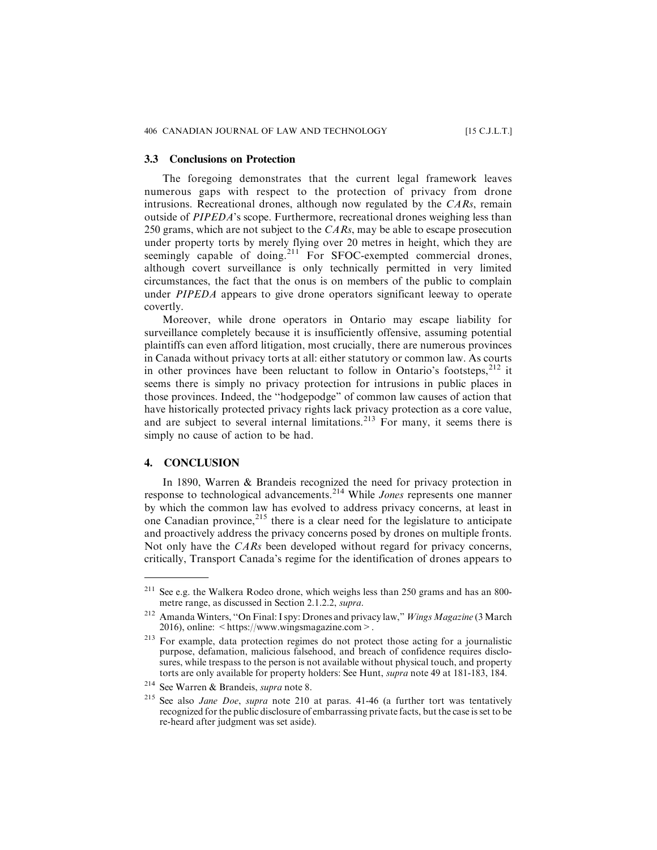#### **3.3 Conclusions on Protection**

The foregoing demonstrates that the current legal framework leaves numerous gaps with respect to the protection of privacy from drone intrusions. Recreational drones, although now regulated by the  $CARS$ , remain outside of  $PIPEDA$ 's scope. Furthermore, recreational drones weighing less than 250 grams, which are not subject to the  $CARS$ , may be able to escape prosecution under property torts by merely flying over 20 metres in height, which they are seemingly capable of doing.<sup>211</sup> For SFOC-exempted commercial drones, although covert surveillance is only technically permitted in very limited circumstances, the fact that the onus is on members of the public to complain under *PIPEDA* appears to give drone operators significant leeway to operate covertly.

Moreover, while drone operators in Ontario may escape liability for surveillance completely because it is insufficiently offensive, assuming potential plaintiffs can even afford litigation, most crucially, there are numerous provinces in Canada without privacy torts at all: either statutory or common law. As courts in other provinces have been reluctant to follow in Ontario's footsteps,  $2^{12}$  it seems there is simply no privacy protection for intrusions in public places in those provinces. Indeed, the ''hodgepodge" of common law causes of action that have historically protected privacy rights lack privacy protection as a core value, and are subject to several internal limitations.<sup>213</sup> For many, it seems there is simply no cause of action to be had.

#### **4. CONCLUSION**

In 1890, Warren & Brandeis recognized the need for privacy protection in response to technological advancements.<sup>214</sup> While Jones represents one manner by which the common law has evolved to address privacy concerns, at least in one Canadian province,<sup>215</sup> there is a clear need for the legislature to anticipate and proactively address the privacy concerns posed by drones on multiple fronts. Not only have the CARs been developed without regard for privacy concerns, critically, Transport Canada's regime for the identification of drones appears to

<sup>211</sup> See e.g. the Walkera Rodeo drone, which weighs less than 250 grams and has an 800 metre range, as discussed in Section 2.1.2.2, supra.

<sup>&</sup>lt;sup>212</sup> Amanda Winters, "On Final: I spy: Drones and privacy law," Wings Magazine (3 March 2016), online:  $\langle \text{https://www.wingsmagazine.com} \rangle$ .

<sup>&</sup>lt;sup>213</sup> For example, data protection regimes do not protect those acting for a journalistic purpose, defamation, malicious falsehood, and breach of confidence requires disclosures, while trespass to the person is not available without physical touch, and property torts are only available for property holders: See Hunt, supra note 49 at 181-183, 184.

<sup>214</sup> See Warren & Brandeis, supra note 8.

<sup>&</sup>lt;sup>215</sup> See also Jane Doe, supra note 210 at paras. 41-46 (a further tort was tentatively recognized for the public disclosure of embarrassing private facts, but the case is set to be re-heard after judgment was set aside).